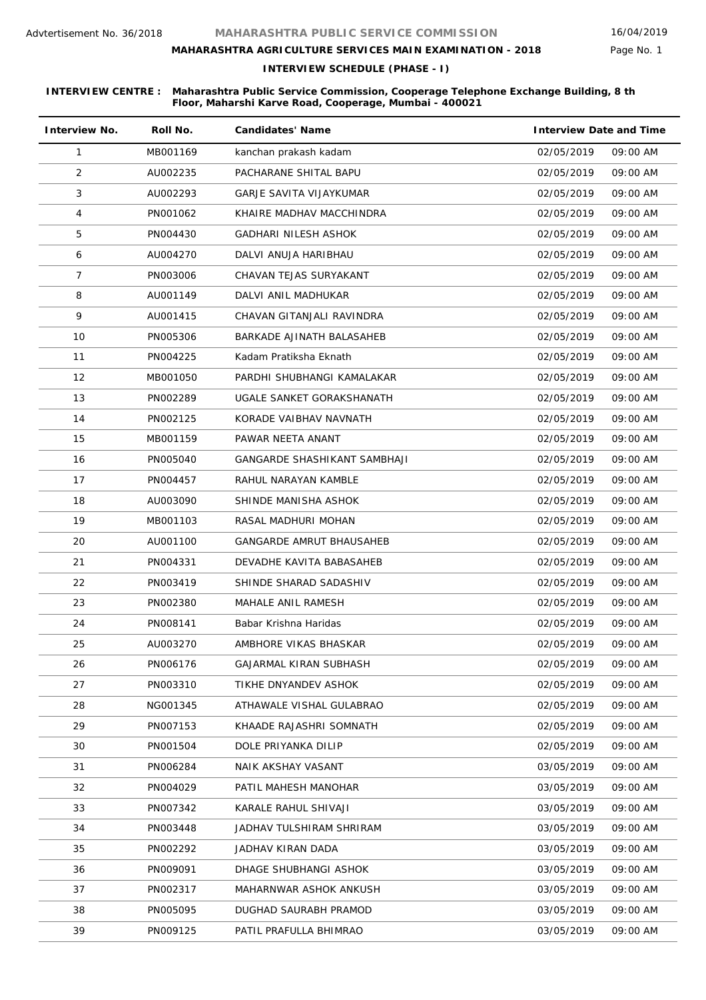# **MAHARASHTRA AGRICULTURE SERVICES MAIN EXAMINATION - 2018**

**INTERVIEW SCHEDULE (PHASE - I)**

| <b>Interview No.</b> | Roll No. | <b>Candidates' Name</b>        | <b>Interview Date and Time</b> |
|----------------------|----------|--------------------------------|--------------------------------|
| 1                    | MB001169 | kanchan prakash kadam          | 02/05/2019<br>09:00 AM         |
| 2                    | AU002235 | PACHARANE SHITAL BAPU          | 09:00 AM<br>02/05/2019         |
| 3                    | AU002293 | <b>GARJE SAVITA VIJAYKUMAR</b> | 02/05/2019<br>09:00 AM         |
| 4                    | PN001062 | KHAIRE MADHAV MACCHINDRA       | 09:00 AM<br>02/05/2019         |
| 5                    | PN004430 | GADHARI NILESH ASHOK           | 02/05/2019<br>09:00 AM         |
| 6                    | AU004270 | DALVI ANUJA HARIBHAU           | 02/05/2019<br>09:00 AM         |
| 7                    | PN003006 | CHAVAN TEJAS SURYAKANT         | 02/05/2019<br>09:00 AM         |
| 8                    | AU001149 | DALVI ANIL MADHUKAR            | 02/05/2019<br>09:00 AM         |
| 9                    | AU001415 | CHAVAN GITANJALI RAVINDRA      | 02/05/2019<br>09:00 AM         |
| 10                   | PN005306 | BARKADE AJINATH BALASAHEB      | 02/05/2019<br>09:00 AM         |
| 11                   | PN004225 | Kadam Pratiksha Eknath         | 02/05/2019<br>09:00 AM         |
| 12                   | MB001050 | PARDHI SHUBHANGI KAMALAKAR     | 09:00 AM<br>02/05/2019         |
| 13                   | PN002289 | UGALE SANKET GORAKSHANATH      | 02/05/2019<br>09:00 AM         |
| 14                   | PN002125 | KORADE VAIBHAV NAVNATH         | 02/05/2019<br>09:00 AM         |
| 15                   | MB001159 | PAWAR NEETA ANANT              | 02/05/2019<br>09:00 AM         |
| 16                   | PN005040 | GANGARDE SHASHIKANT SAMBHAJI   | 02/05/2019<br>09:00 AM         |
| 17                   | PN004457 | RAHUL NARAYAN KAMBLE           | 02/05/2019<br>09:00 AM         |
| 18                   | AU003090 | SHINDE MANISHA ASHOK           | 02/05/2019<br>09:00 AM         |
| 19                   | MB001103 | RASAL MADHURI MOHAN            | 02/05/2019<br>09:00 AM         |
| 20                   | AU001100 | GANGARDE AMRUT BHAUSAHEB       | 09:00 AM<br>02/05/2019         |
| 21                   | PN004331 | DEVADHE KAVITA BABASAHEB       | 02/05/2019<br>09:00 AM         |
| 22                   | PN003419 | SHINDE SHARAD SADASHIV         | 02/05/2019<br>09:00 AM         |
| 23                   | PN002380 | MAHALE ANIL RAMESH             | 02/05/2019<br>09:00 AM         |
| 24                   | PN008141 | Babar Krishna Haridas          | 02/05/2019<br>09:00 AM         |
| 25                   | AU003270 | AMBHORE VIKAS BHASKAR          | 02/05/2019<br>09:00 AM         |
| 26                   | PN006176 | GAJARMAL KIRAN SUBHASH         | 02/05/2019<br>09:00 AM         |
| 27                   | PN003310 | TIKHE DNYANDEV ASHOK           | 02/05/2019<br>09:00 AM         |
| 28                   | NG001345 | ATHAWALE VISHAL GULABRAO       | 02/05/2019<br>09:00 AM         |
| 29                   | PN007153 | KHAADE RAJASHRI SOMNATH        | 02/05/2019<br>09:00 AM         |
| 30                   | PN001504 | DOLE PRIYANKA DILIP            | 02/05/2019<br>09:00 AM         |
| 31                   | PN006284 | NAIK AKSHAY VASANT             | 03/05/2019<br>09:00 AM         |
| 32                   | PN004029 | PATIL MAHESH MANOHAR           | 03/05/2019<br>09:00 AM         |
| 33                   | PN007342 | KARALE RAHUL SHIVAJI           | 03/05/2019<br>09:00 AM         |
| 34                   | PN003448 | JADHAV TULSHIRAM SHRIRAM       | 03/05/2019<br>09:00 AM         |
| 35                   | PN002292 | JADHAV KIRAN DADA              | 03/05/2019<br>09:00 AM         |
| 36                   | PN009091 | DHAGE SHUBHANGI ASHOK          | 09:00 AM<br>03/05/2019         |
| 37                   | PN002317 | MAHARNWAR ASHOK ANKUSH         | 03/05/2019<br>09:00 AM         |
| 38                   | PN005095 | DUGHAD SAURABH PRAMOD          | 03/05/2019<br>09:00 AM         |
| 39                   | PN009125 | PATIL PRAFULLA BHIMRAO         | 03/05/2019<br>09:00 AM         |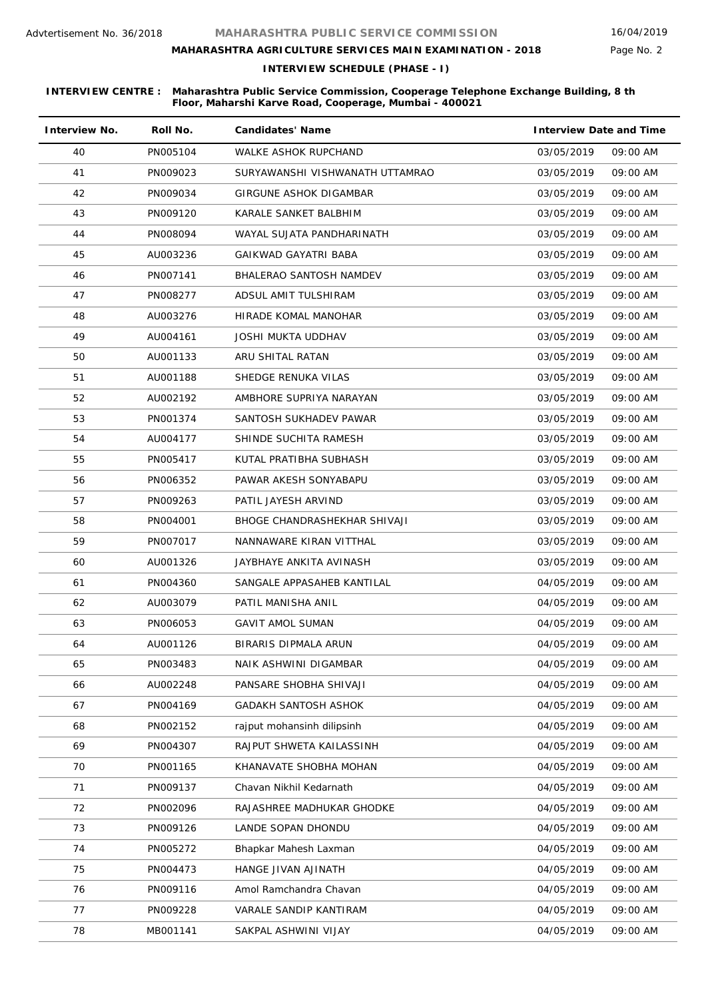# **MAHARASHTRA AGRICULTURE SERVICES MAIN EXAMINATION - 2018**

**INTERVIEW SCHEDULE (PHASE - I)**

| <b>Interview No.</b> | Roll No. | <b>Candidates' Name</b>         | <b>Interview Date and Time</b> |          |
|----------------------|----------|---------------------------------|--------------------------------|----------|
| 40                   | PN005104 | WALKE ASHOK RUPCHAND            | 03/05/2019                     | 09:00 AM |
| 41                   | PN009023 | SURYAWANSHI VISHWANATH UTTAMRAO | 03/05/2019                     | 09:00 AM |
| 42                   | PN009034 | GIRGUNE ASHOK DIGAMBAR          | 03/05/2019                     | 09:00 AM |
| 43                   | PN009120 | KARALE SANKET BALBHIM           | 03/05/2019                     | 09:00 AM |
| 44                   | PN008094 | WAYAL SUJATA PANDHARINATH       | 03/05/2019                     | 09:00 AM |
| 45                   | AU003236 | GAIKWAD GAYATRI BABA            | 03/05/2019                     | 09:00 AM |
| 46                   | PN007141 | <b>BHALERAO SANTOSH NAMDEV</b>  | 03/05/2019                     | 09:00 AM |
| 47                   | PN008277 | ADSUL AMIT TULSHIRAM            | 03/05/2019                     | 09:00 AM |
| 48                   | AU003276 | HIRADE KOMAL MANOHAR            | 03/05/2019                     | 09:00 AM |
| 49                   | AU004161 | <b>JOSHI MUKTA UDDHAV</b>       | 03/05/2019                     | 09:00 AM |
| 50                   | AU001133 | ARU SHITAL RATAN                | 03/05/2019                     | 09:00 AM |
| 51                   | AU001188 | SHEDGE RENUKA VILAS             | 03/05/2019                     | 09:00 AM |
| 52                   | AU002192 | AMBHORE SUPRIYA NARAYAN         | 03/05/2019                     | 09:00 AM |
| 53                   | PN001374 | SANTOSH SUKHADEV PAWAR          | 03/05/2019                     | 09:00 AM |
| 54                   | AU004177 | SHINDE SUCHITA RAMESH           | 03/05/2019                     | 09:00 AM |
| 55                   | PN005417 | KUTAL PRATIBHA SUBHASH          | 03/05/2019                     | 09:00 AM |
| 56                   | PN006352 | PAWAR AKESH SONYABAPU           | 03/05/2019                     | 09:00 AM |
| 57                   | PN009263 | PATIL JAYESH ARVIND             | 03/05/2019                     | 09:00 AM |
| 58                   | PN004001 | BHOGE CHANDRASHEKHAR SHIVAJI    | 03/05/2019                     | 09:00 AM |
| 59                   | PN007017 | NANNAWARE KIRAN VITTHAL         | 03/05/2019                     | 09:00 AM |
| 60                   | AU001326 | JAYBHAYE ANKITA AVINASH         | 03/05/2019                     | 09:00 AM |
| 61                   | PN004360 | SANGALE APPASAHEB KANTILAL      | 04/05/2019                     | 09:00 AM |
| 62                   | AU003079 | PATIL MANISHA ANIL              | 04/05/2019                     | 09:00 AM |
| 63                   | PN006053 | <b>GAVIT AMOL SUMAN</b>         | 04/05/2019                     | 09:00 AM |
| 64                   | AU001126 | BIRARIS DIPMALA ARUN            | 04/05/2019                     | 09:00 AM |
| 65                   | PN003483 | NAIK ASHWINI DIGAMBAR           | 04/05/2019                     | 09:00 AM |
| 66                   | AU002248 | PANSARE SHOBHA SHIVAJI          | 04/05/2019                     | 09:00 AM |
| 67                   | PN004169 | <b>GADAKH SANTOSH ASHOK</b>     | 04/05/2019                     | 09:00 AM |
| 68                   | PN002152 | rajput mohansinh dilipsinh      | 04/05/2019                     | 09:00 AM |
| 69                   | PN004307 | RAJPUT SHWETA KAILASSINH        | 04/05/2019                     | 09:00 AM |
| 70                   | PN001165 | KHANAVATE SHOBHA MOHAN          | 04/05/2019                     | 09:00 AM |
| 71                   | PN009137 | Chavan Nikhil Kedarnath         | 04/05/2019                     | 09:00 AM |
| 72                   | PN002096 | RAJASHREE MADHUKAR GHODKE       | 04/05/2019                     | 09:00 AM |
| 73                   | PN009126 | LANDE SOPAN DHONDU              | 04/05/2019                     | 09:00 AM |
| 74                   | PN005272 | Bhapkar Mahesh Laxman           | 04/05/2019                     | 09:00 AM |
| 75                   | PN004473 | HANGE JIVAN AJINATH             | 04/05/2019                     | 09:00 AM |
| 76                   | PN009116 | Amol Ramchandra Chavan          | 04/05/2019                     | 09:00 AM |
| 77                   | PN009228 | VARALE SANDIP KANTIRAM          | 04/05/2019                     | 09:00 AM |
| 78                   | MB001141 | SAKPAL ASHWINI VIJAY            | 04/05/2019                     | 09:00 AM |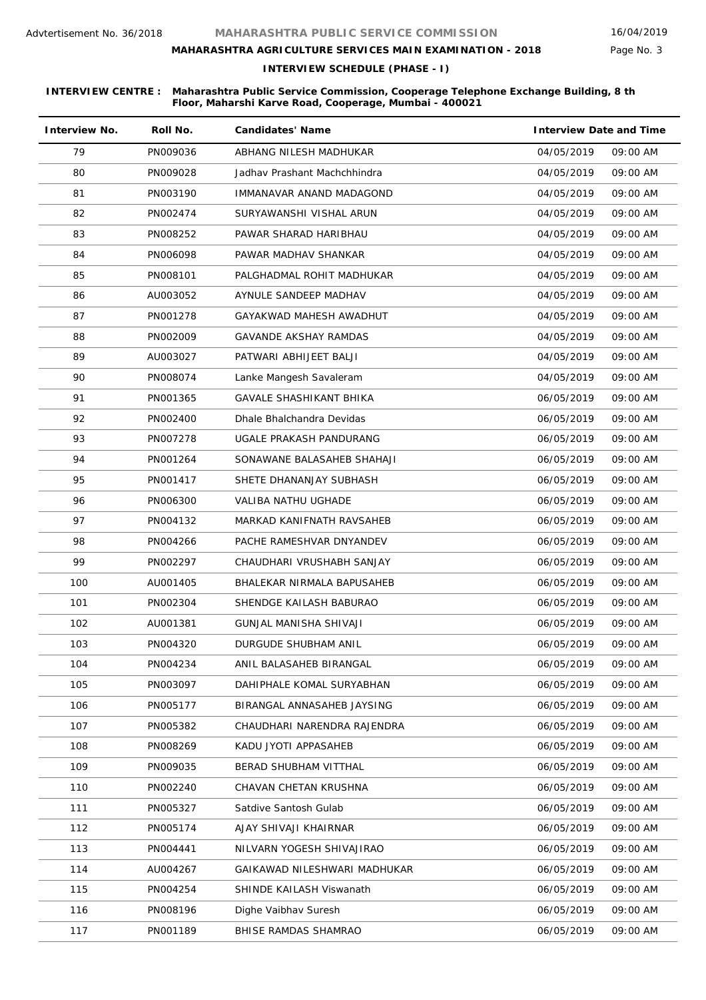# **MAHARASHTRA AGRICULTURE SERVICES MAIN EXAMINATION - 2018**

Page No. 3

**INTERVIEW SCHEDULE (PHASE - I)**

| <b>Interview No.</b> | Roll No. | <b>Candidates' Name</b>      | <b>Interview Date and Time</b> |
|----------------------|----------|------------------------------|--------------------------------|
| 79                   | PN009036 | ABHANG NILESH MADHUKAR       | 04/05/2019<br>09:00 AM         |
| 80                   | PN009028 | Jadhav Prashant Machchhindra | 04/05/2019<br>09:00 AM         |
| 81                   | PN003190 | IMMANAVAR ANAND MADAGOND     | 09:00 AM<br>04/05/2019         |
| 82                   | PN002474 | SURYAWANSHI VISHAL ARUN      | 04/05/2019<br>09:00 AM         |
| 83                   | PN008252 | PAWAR SHARAD HARIBHAU        | 04/05/2019<br>09:00 AM         |
| 84                   | PN006098 | PAWAR MADHAV SHANKAR         | 04/05/2019<br>09:00 AM         |
| 85                   | PN008101 | PALGHADMAL ROHIT MADHUKAR    | 04/05/2019<br>09:00 AM         |
| 86                   | AU003052 | AYNULE SANDEEP MADHAV        | 04/05/2019<br>09:00 AM         |
| 87                   | PN001278 | GAYAKWAD MAHESH AWADHUT      | 04/05/2019<br>09:00 AM         |
| 88                   | PN002009 | <b>GAVANDE AKSHAY RAMDAS</b> | 04/05/2019<br>09:00 AM         |
| 89                   | AU003027 | PATWARI ABHIJEET BALJI       | 09:00 AM<br>04/05/2019         |
| 90                   | PN008074 | Lanke Mangesh Savaleram      | 04/05/2019<br>09:00 AM         |
| 91                   | PN001365 | GAVALE SHASHIKANT BHIKA      | 06/05/2019<br>09:00 AM         |
| 92                   | PN002400 | Dhale Bhalchandra Devidas    | 06/05/2019<br>09:00 AM         |
| 93                   | PN007278 | UGALE PRAKASH PANDURANG      | 06/05/2019<br>09:00 AM         |
| 94                   | PN001264 | SONAWANE BALASAHEB SHAHAJI   | 06/05/2019<br>09:00 AM         |
| 95                   | PN001417 | SHETE DHANANJAY SUBHASH      | 06/05/2019<br>09:00 AM         |
| 96                   | PN006300 | VALIBA NATHU UGHADE          | 06/05/2019<br>09:00 AM         |
| 97                   | PN004132 | MARKAD KANIFNATH RAVSAHEB    | 09:00 AM<br>06/05/2019         |
| 98                   | PN004266 | PACHE RAMESHVAR DNYANDEV     | 06/05/2019<br>09:00 AM         |
| 99                   | PN002297 | CHAUDHARI VRUSHABH SANJAY    | 06/05/2019<br>09:00 AM         |
| 100                  | AU001405 | BHALEKAR NIRMALA BAPUSAHEB   | 06/05/2019<br>09:00 AM         |
| 101                  | PN002304 | SHENDGE KAILASH BABURAO      | 06/05/2019<br>09:00 AM         |
| 102                  | AU001381 | GUNJAL MANISHA SHIVAJI       | 06/05/2019<br>09:00 AM         |
| 103                  | PN004320 | DURGUDE SHUBHAM ANIL         | 06/05/2019<br>09:00 AM         |
| 104                  | PN004234 | ANIL BALASAHEB BIRANGAL      | 06/05/2019<br>09:00 AM         |
| 105                  | PN003097 | DAHIPHALE KOMAL SURYABHAN    | 06/05/2019<br>09:00 AM         |
| 106                  | PN005177 | BIRANGAL ANNASAHEB JAYSING   | 09:00 AM<br>06/05/2019         |
| 107                  | PN005382 | CHAUDHARI NARENDRA RAJENDRA  | 06/05/2019<br>09:00 AM         |
| 108                  | PN008269 | KADU JYOTI APPASAHEB         | 06/05/2019<br>09:00 AM         |
| 109                  | PN009035 | BERAD SHUBHAM VITTHAL        | 06/05/2019<br>09:00 AM         |
| 110                  | PN002240 | CHAVAN CHETAN KRUSHNA        | 06/05/2019<br>09:00 AM         |
| 111                  | PN005327 | Satdive Santosh Gulab        | 09:00 AM<br>06/05/2019         |
| 112                  | PN005174 | AJAY SHIVAJI KHAIRNAR        | 06/05/2019<br>09:00 AM         |
| 113                  | PN004441 | NILVARN YOGESH SHIVAJIRAO    | 09:00 AM<br>06/05/2019         |
| 114                  | AU004267 | GAIKAWAD NILESHWARI MADHUKAR | 06/05/2019<br>09:00 AM         |
| 115                  | PN004254 | SHINDE KAILASH Viswanath     | 09:00 AM<br>06/05/2019         |
| 116                  | PN008196 | Dighe Vaibhav Suresh         | 06/05/2019<br>09:00 AM         |
| 117                  | PN001189 | BHISE RAMDAS SHAMRAO         | 06/05/2019<br>09:00 AM         |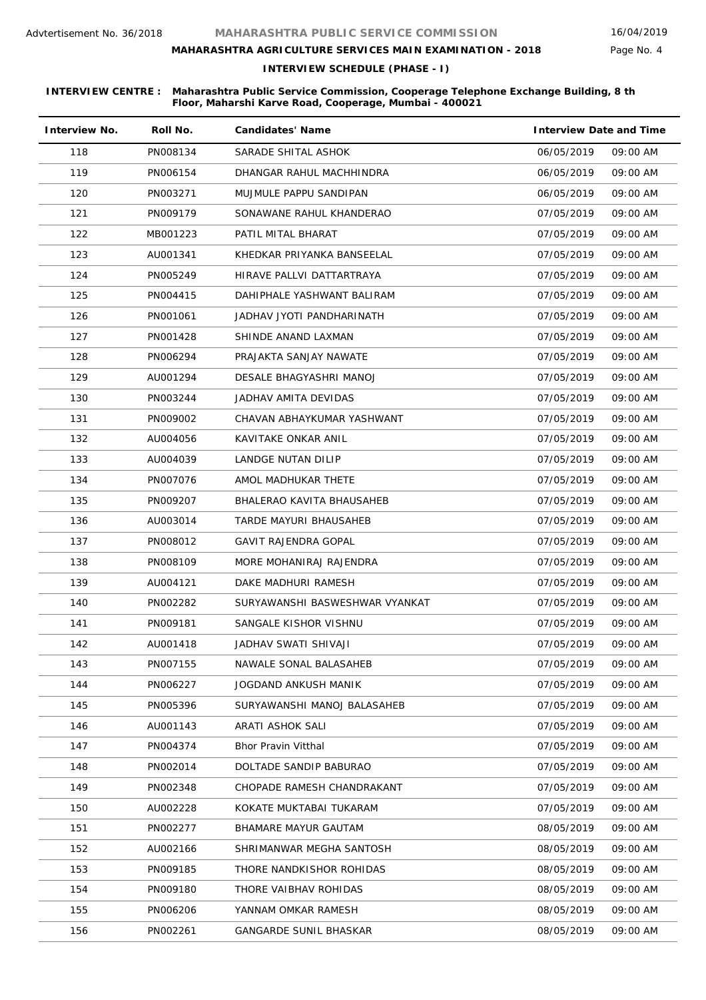# **MAHARASHTRA AGRICULTURE SERVICES MAIN EXAMINATION - 2018**

**INTERVIEW SCHEDULE (PHASE - I)**

| <b>Interview No.</b> | Roll No. | <b>Candidates' Name</b>        | <b>Interview Date and Time</b> |          |
|----------------------|----------|--------------------------------|--------------------------------|----------|
| 118                  | PN008134 | SARADE SHITAL ASHOK            | 06/05/2019                     | 09:00 AM |
| 119                  | PN006154 | DHANGAR RAHUL MACHHINDRA       | 06/05/2019                     | 09:00 AM |
| 120                  | PN003271 | MUJMULE PAPPU SANDIPAN         | 06/05/2019                     | 09:00 AM |
| 121                  | PN009179 | SONAWANE RAHUL KHANDERAO       | 07/05/2019                     | 09:00 AM |
| 122                  | MB001223 | PATIL MITAL BHARAT             | 07/05/2019                     | 09:00 AM |
| 123                  | AU001341 | KHEDKAR PRIYANKA BANSEELAL     | 07/05/2019                     | 09:00 AM |
| 124                  | PN005249 | HIRAVE PALLVI DATTARTRAYA      | 07/05/2019                     | 09:00 AM |
| 125                  | PN004415 | DAHIPHALE YASHWANT BALIRAM     | 07/05/2019                     | 09:00 AM |
| 126                  | PN001061 | JADHAV JYOTI PANDHARINATH      | 07/05/2019                     | 09:00 AM |
| 127                  | PN001428 | SHINDE ANAND LAXMAN            | 07/05/2019                     | 09:00 AM |
| 128                  | PN006294 | PRAJAKTA SANJAY NAWATE         | 07/05/2019                     | 09:00 AM |
| 129                  | AU001294 | DESALE BHAGYASHRI MANOJ        | 07/05/2019                     | 09:00 AM |
| 130                  | PN003244 | JADHAV AMITA DEVIDAS           | 07/05/2019                     | 09:00 AM |
| 131                  | PN009002 | CHAVAN ABHAYKUMAR YASHWANT     | 07/05/2019                     | 09:00 AM |
| 132                  | AU004056 | KAVITAKE ONKAR ANIL            | 07/05/2019                     | 09:00 AM |
| 133                  | AU004039 | <b>LANDGE NUTAN DILIP</b>      | 07/05/2019                     | 09:00 AM |
| 134                  | PN007076 | AMOL MADHUKAR THETE            | 07/05/2019                     | 09:00 AM |
| 135                  | PN009207 | BHALERAO KAVITA BHAUSAHEB      | 07/05/2019                     | 09:00 AM |
| 136                  | AU003014 | TARDE MAYURI BHAUSAHEB         | 07/05/2019                     | 09:00 AM |
| 137                  | PN008012 | <b>GAVIT RAJENDRA GOPAL</b>    | 07/05/2019                     | 09:00 AM |
| 138                  | PN008109 | MORE MOHANIRAJ RAJENDRA        | 07/05/2019                     | 09:00 AM |
| 139                  | AU004121 | DAKE MADHURI RAMESH            | 07/05/2019                     | 09:00 AM |
| 140                  | PN002282 | SURYAWANSHI BASWESHWAR VYANKAT | 07/05/2019                     | 09:00 AM |
| 141                  | PN009181 | SANGALE KISHOR VISHNU          | 07/05/2019                     | 09:00 AM |
| 142                  | AU001418 | JADHAV SWATI SHIVAJI           | 07/05/2019                     | 09:00 AM |
| 143                  | PN007155 | NAWALE SONAL BALASAHEB         | 07/05/2019                     | 09:00 AM |
| 144                  | PN006227 | JOGDAND ANKUSH MANIK           | 07/05/2019                     | 09:00 AM |
| 145                  | PN005396 | SURYAWANSHI MANOJ BALASAHEB    | 07/05/2019                     | 09:00 AM |
| 146                  | AU001143 | ARATI ASHOK SALI               | 07/05/2019                     | 09:00 AM |
| 147                  | PN004374 | <b>Bhor Pravin Vitthal</b>     | 07/05/2019                     | 09:00 AM |
| 148                  | PN002014 | DOLTADE SANDIP BABURAO         | 07/05/2019                     | 09:00 AM |
| 149                  | PN002348 | CHOPADE RAMESH CHANDRAKANT     | 07/05/2019                     | 09:00 AM |
| 150                  | AU002228 | KOKATE MUKTABAI TUKARAM        | 07/05/2019                     | 09:00 AM |
| 151                  | PN002277 | BHAMARE MAYUR GAUTAM           | 08/05/2019                     | 09:00 AM |
| 152                  | AU002166 | SHRIMANWAR MEGHA SANTOSH       | 08/05/2019                     | 09:00 AM |
| 153                  | PN009185 | THORE NANDKISHOR ROHIDAS       | 08/05/2019                     | 09:00 AM |
| 154                  | PN009180 | THORE VAIBHAV ROHIDAS          | 08/05/2019                     | 09:00 AM |
| 155                  | PN006206 | YANNAM OMKAR RAMESH            | 08/05/2019                     | 09:00 AM |
| 156                  | PN002261 | GANGARDE SUNIL BHASKAR         | 08/05/2019                     | 09:00 AM |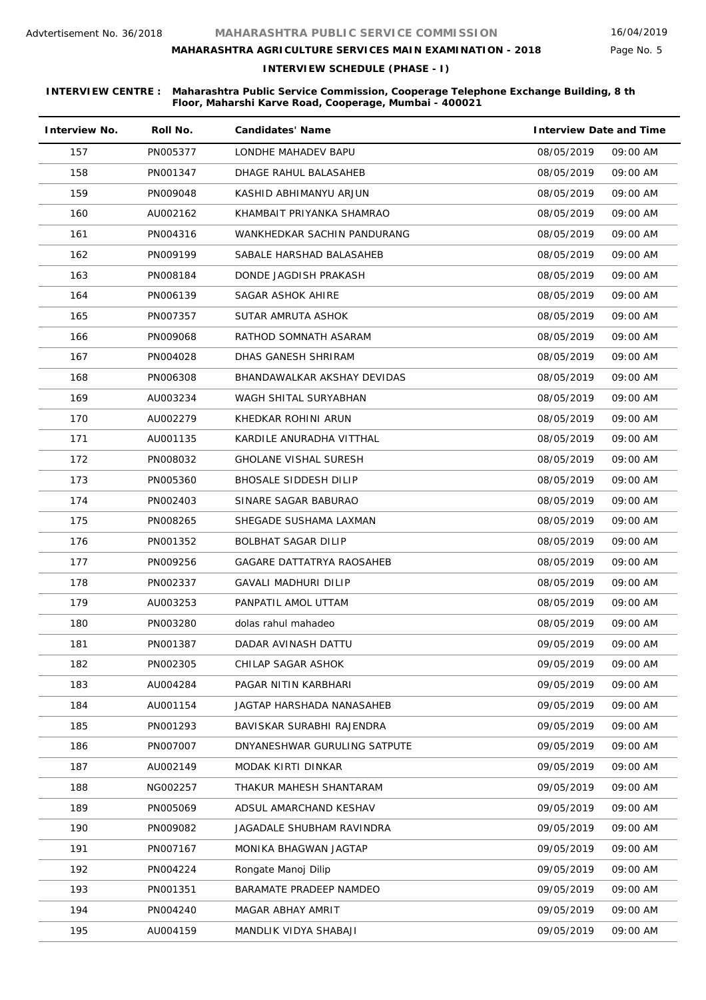# **MAHARASHTRA AGRICULTURE SERVICES MAIN EXAMINATION - 2018**

**INTERVIEW SCHEDULE (PHASE - I)**

| <b>Interview No.</b> | Roll No. | <b>Candidates' Name</b>      | <b>Interview Date and Time</b> |  |
|----------------------|----------|------------------------------|--------------------------------|--|
| 157                  | PN005377 | LONDHE MAHADEV BAPU          | 08/05/2019<br>09:00 AM         |  |
| 158                  | PN001347 | DHAGE RAHUL BALASAHEB        | 09:00 AM<br>08/05/2019         |  |
| 159                  | PN009048 | KASHID ABHIMANYU ARJUN       | 08/05/2019<br>09:00 AM         |  |
| 160                  | AU002162 | KHAMBAIT PRIYANKA SHAMRAO    | 08/05/2019<br>09:00 AM         |  |
| 161                  | PN004316 | WANKHEDKAR SACHIN PANDURANG  | 09:00 AM<br>08/05/2019         |  |
| 162                  | PN009199 | SABALE HARSHAD BALASAHEB     | 08/05/2019<br>09:00 AM         |  |
| 163                  | PN008184 | DONDE JAGDISH PRAKASH        | 08/05/2019<br>09:00 AM         |  |
| 164                  | PN006139 | SAGAR ASHOK AHIRE            | 08/05/2019<br>09:00 AM         |  |
| 165                  | PN007357 | SUTAR AMRUTA ASHOK           | 08/05/2019<br>09:00 AM         |  |
| 166                  | PN009068 | RATHOD SOMNATH ASARAM        | 08/05/2019<br>09:00 AM         |  |
| 167                  | PN004028 | DHAS GANESH SHRIRAM          | 08/05/2019<br>09:00 AM         |  |
| 168                  | PN006308 | BHANDAWALKAR AKSHAY DEVIDAS  | 09:00 AM<br>08/05/2019         |  |
| 169                  | AU003234 | WAGH SHITAL SURYABHAN        | 09:00 AM<br>08/05/2019         |  |
| 170                  | AU002279 | KHEDKAR ROHINI ARUN          | 08/05/2019<br>09:00 AM         |  |
| 171                  | AU001135 | KARDILE ANURADHA VITTHAL     | 08/05/2019<br>09:00 AM         |  |
| 172                  | PN008032 | <b>GHOLANE VISHAL SURESH</b> | 08/05/2019<br>09:00 AM         |  |
| 173                  | PN005360 | BHOSALE SIDDESH DILIP        | 08/05/2019<br>09:00 AM         |  |
| 174                  | PN002403 | SINARE SAGAR BABURAO         | 09:00 AM<br>08/05/2019         |  |
| 175                  | PN008265 | SHEGADE SUSHAMA LAXMAN       | 08/05/2019<br>09:00 AM         |  |
| 176                  | PN001352 | <b>BOLBHAT SAGAR DILIP</b>   | 08/05/2019<br>09:00 AM         |  |
| 177                  | PN009256 | GAGARE DATTATRYA RAOSAHEB    | 08/05/2019<br>09:00 AM         |  |
| 178                  | PN002337 | GAVALI MADHURI DILIP         | 08/05/2019<br>09:00 AM         |  |
| 179                  | AU003253 | PANPATIL AMOL UTTAM          | 08/05/2019<br>09:00 AM         |  |
| 180                  | PN003280 | dolas rahul mahadeo          | 08/05/2019<br>09:00 AM         |  |
| 181                  | PN001387 | DADAR AVINASH DATTU          | 09/05/2019<br>09:00 AM         |  |
| 182                  | PN002305 | CHILAP SAGAR ASHOK           | 09/05/2019<br>09:00 AM         |  |
| 183                  | AU004284 | PAGAR NITIN KARBHARI         | 09/05/2019<br>09:00 AM         |  |
| 184                  | AU001154 | JAGTAP HARSHADA NANASAHEB    | 09/05/2019<br>09:00 AM         |  |
| 185                  | PN001293 | BAVISKAR SURABHI RAJENDRA    | 09/05/2019<br>09:00 AM         |  |
| 186                  | PN007007 | DNYANESHWAR GURULING SATPUTE | 09/05/2019<br>09:00 AM         |  |
| 187                  | AU002149 | MODAK KIRTI DINKAR           | 09:00 AM<br>09/05/2019         |  |
| 188                  | NG002257 | THAKUR MAHESH SHANTARAM      | 09:00 AM<br>09/05/2019         |  |
| 189                  | PN005069 | ADSUL AMARCHAND KESHAV       | 09:00 AM<br>09/05/2019         |  |
| 190                  | PN009082 | JAGADALE SHUBHAM RAVINDRA    | 09/05/2019<br>09:00 AM         |  |
| 191                  | PN007167 | MONIKA BHAGWAN JAGTAP        | 09:00 AM<br>09/05/2019         |  |
| 192                  | PN004224 | Rongate Manoj Dilip          | 09/05/2019<br>09:00 AM         |  |
| 193                  | PN001351 | BARAMATE PRADEEP NAMDEO      | 09:00 AM<br>09/05/2019         |  |
| 194                  | PN004240 | MAGAR ABHAY AMRIT            | 09/05/2019<br>09:00 AM         |  |
| 195                  | AU004159 | MANDLIK VIDYA SHABAJI        | 09/05/2019<br>09:00 AM         |  |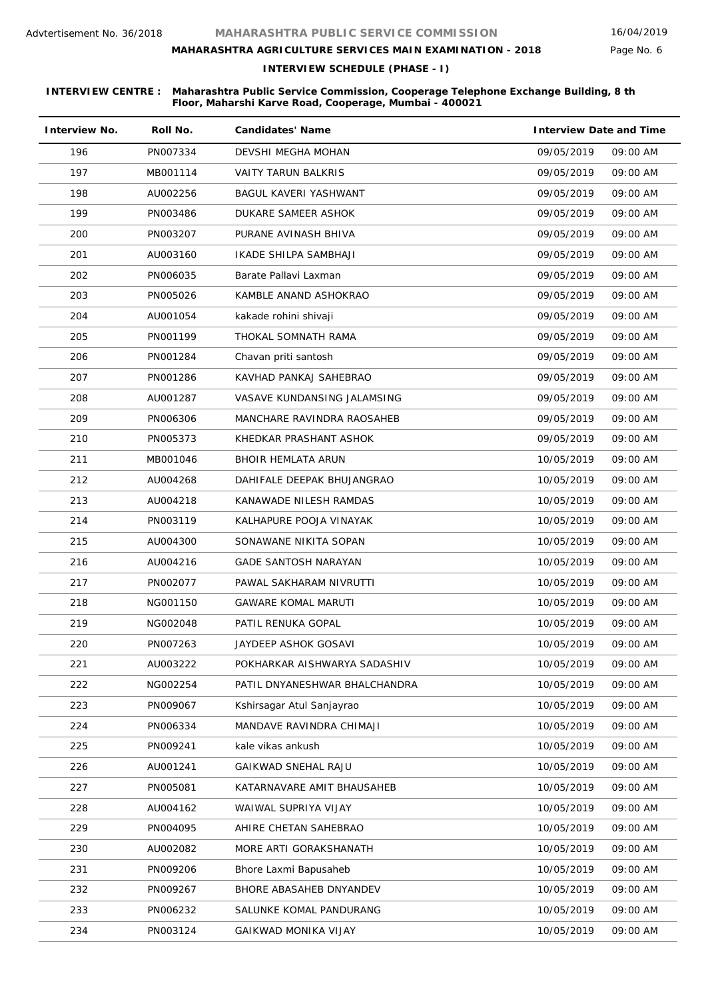# **MAHARASHTRA AGRICULTURE SERVICES MAIN EXAMINATION - 2018**

Page No. 6

**INTERVIEW SCHEDULE (PHASE - I)**

| <b>Interview No.</b> | Roll No. | <b>Candidates' Name</b>       | <b>Interview Date and Time</b> |          |
|----------------------|----------|-------------------------------|--------------------------------|----------|
| 196                  | PN007334 | DEVSHI MEGHA MOHAN            | 09/05/2019                     | 09:00 AM |
| 197                  | MB001114 | <b>VAITY TARUN BALKRIS</b>    | 09/05/2019                     | 09:00 AM |
| 198                  | AU002256 | BAGUL KAVERI YASHWANT         | 09/05/2019                     | 09:00 AM |
| 199                  | PN003486 | DUKARE SAMEER ASHOK           | 09/05/2019                     | 09:00 AM |
| 200                  | PN003207 | PURANE AVINASH BHIVA          | 09/05/2019                     | 09:00 AM |
| 201                  | AU003160 | IKADE SHILPA SAMBHAJI         | 09/05/2019                     | 09:00 AM |
| 202                  | PN006035 | Barate Pallavi Laxman         | 09/05/2019                     | 09:00 AM |
| 203                  | PN005026 | KAMBLE ANAND ASHOKRAO         | 09/05/2019                     | 09:00 AM |
| 204                  | AU001054 | kakade rohini shivaji         | 09/05/2019                     | 09:00 AM |
| 205                  | PN001199 | THOKAL SOMNATH RAMA           | 09/05/2019                     | 09:00 AM |
| 206                  | PN001284 | Chavan priti santosh          | 09/05/2019                     | 09:00 AM |
| 207                  | PN001286 | KAVHAD PANKAJ SAHEBRAO        | 09/05/2019                     | 09:00 AM |
| 208                  | AU001287 | VASAVE KUNDANSING JALAMSING   | 09/05/2019                     | 09:00 AM |
| 209                  | PN006306 | MANCHARE RAVINDRA RAOSAHEB    | 09/05/2019                     | 09:00 AM |
| 210                  | PN005373 | KHEDKAR PRASHANT ASHOK        | 09/05/2019                     | 09:00 AM |
| 211                  | MB001046 | BHOIR HEMLATA ARUN            | 10/05/2019                     | 09:00 AM |
| 212                  | AU004268 | DAHIFALE DEEPAK BHUJANGRAO    | 10/05/2019                     | 09:00 AM |
| 213                  | AU004218 | KANAWADE NILESH RAMDAS        | 10/05/2019                     | 09:00 AM |
| 214                  | PN003119 | KALHAPURE POOJA VINAYAK       | 10/05/2019                     | 09:00 AM |
| 215                  | AU004300 | SONAWANE NIKITA SOPAN         | 10/05/2019                     | 09:00 AM |
| 216                  | AU004216 | <b>GADE SANTOSH NARAYAN</b>   | 10/05/2019                     | 09:00 AM |
| 217                  | PN002077 | PAWAL SAKHARAM NIVRUTTI       | 10/05/2019                     | 09:00 AM |
| 218                  | NG001150 | <b>GAWARE KOMAL MARUTI</b>    | 10/05/2019                     | 09:00 AM |
| 219                  | NG002048 | PATIL RENUKA GOPAL            | 10/05/2019                     | 09:00 AM |
| 220                  | PN007263 | JAYDEEP ASHOK GOSAVI          | 10/05/2019                     | 09:00 AM |
| 221                  | AU003222 | POKHARKAR AISHWARYA SADASHIV  | 10/05/2019                     | 09:00 AM |
| 222                  | NG002254 | PATIL DNYANESHWAR BHALCHANDRA | 10/05/2019                     | 09:00 AM |
| 223                  | PN009067 | Kshirsagar Atul Sanjayrao     | 10/05/2019                     | 09:00 AM |
| 224                  | PN006334 | MANDAVE RAVINDRA CHIMAJI      | 10/05/2019                     | 09:00 AM |
| 225                  | PN009241 | kale vikas ankush             | 10/05/2019                     | 09:00 AM |
| 226                  | AU001241 | <b>GAIKWAD SNEHAL RAJU</b>    | 10/05/2019                     | 09:00 AM |
| 227                  | PN005081 | KATARNAVARE AMIT BHAUSAHEB    | 10/05/2019                     | 09:00 AM |
| 228                  | AU004162 | WAIWAL SUPRIYA VIJAY          | 10/05/2019                     | 09:00 AM |
| 229                  | PN004095 | AHIRE CHETAN SAHEBRAO         | 10/05/2019                     | 09:00 AM |
| 230                  | AU002082 | MORE ARTI GORAKSHANATH        | 10/05/2019                     | 09:00 AM |
| 231                  | PN009206 | Bhore Laxmi Bapusaheb         | 10/05/2019                     | 09:00 AM |
| 232                  | PN009267 | BHORE ABASAHEB DNYANDEV       | 10/05/2019                     | 09:00 AM |
| 233                  | PN006232 | SALUNKE KOMAL PANDURANG       | 10/05/2019                     | 09:00 AM |
| 234                  | PN003124 | <b>GAIKWAD MONIKA VIJAY</b>   | 10/05/2019                     | 09:00 AM |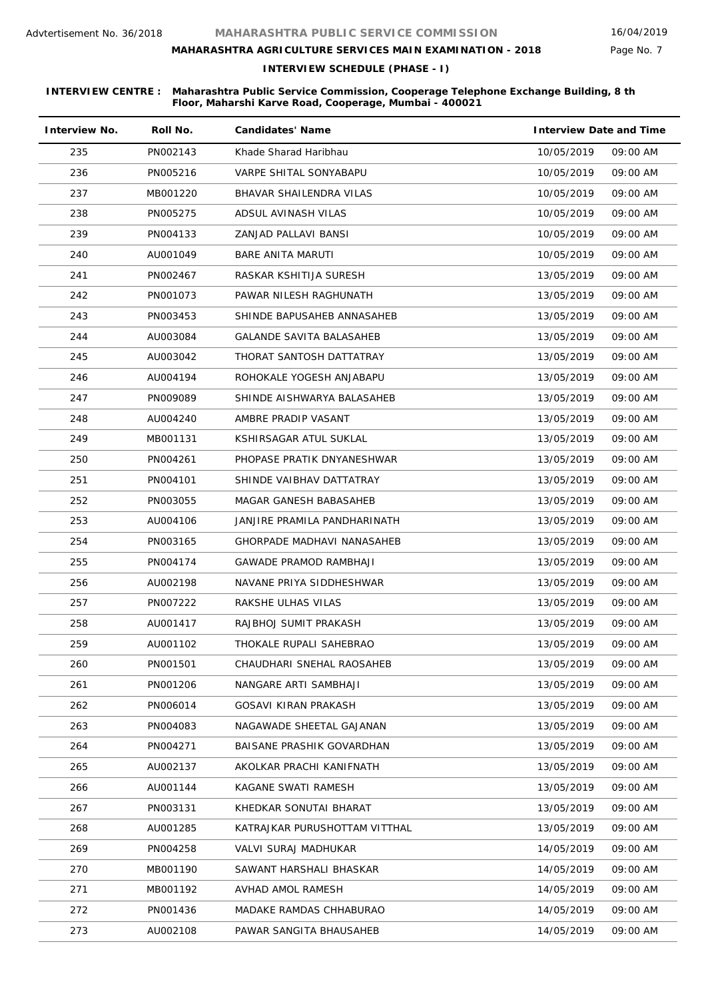# **MAHARASHTRA AGRICULTURE SERVICES MAIN EXAMINATION - 2018**

**INTERVIEW SCHEDULE (PHASE - I)**

| <b>Interview No.</b> | Roll No. | <b>Candidates' Name</b>          | <b>Interview Date and Time</b> |
|----------------------|----------|----------------------------------|--------------------------------|
| 235                  | PN002143 | Khade Sharad Haribhau            | 10/05/2019<br>09:00 AM         |
| 236                  | PN005216 | VARPE SHITAL SONYABAPU           | 09:00 AM<br>10/05/2019         |
| 237                  | MB001220 | BHAVAR SHAILENDRA VILAS          | 10/05/2019<br>09:00 AM         |
| 238                  | PN005275 | ADSUL AVINASH VILAS              | 09:00 AM<br>10/05/2019         |
| 239                  | PN004133 | ZANJAD PALLAVI BANSI             | 10/05/2019<br>09:00 AM         |
| 240                  | AU001049 | BARE ANITA MARUTI                | 10/05/2019<br>09:00 AM         |
| 241                  | PN002467 | RASKAR KSHITIJA SURESH           | 13/05/2019<br>09:00 AM         |
| 242                  | PN001073 | PAWAR NILESH RAGHUNATH           | 13/05/2019<br>09:00 AM         |
| 243                  | PN003453 | SHINDE BAPUSAHEB ANNASAHEB       | 13/05/2019<br>09:00 AM         |
| 244                  | AU003084 | GALANDE SAVITA BALASAHEB         | 13/05/2019<br>09:00 AM         |
| 245                  | AU003042 | THORAT SANTOSH DATTATRAY         | 09:00 AM<br>13/05/2019         |
| 246                  | AU004194 | ROHOKALE YOGESH ANJABAPU         | 09:00 AM<br>13/05/2019         |
| 247                  | PN009089 | SHINDE AISHWARYA BALASAHEB       | 13/05/2019<br>09:00 AM         |
| 248                  | AU004240 | AMBRE PRADIP VASANT              | 13/05/2019<br>09:00 AM         |
| 249                  | MB001131 | KSHIRSAGAR ATUL SUKLAL           | 13/05/2019<br>09:00 AM         |
| 250                  | PN004261 | PHOPASE PRATIK DNYANESHWAR       | 13/05/2019<br>09:00 AM         |
| 251                  | PN004101 | SHINDE VAIBHAV DATTATRAY         | 13/05/2019<br>09:00 AM         |
| 252                  | PN003055 | MAGAR GANESH BABASAHEB           | 13/05/2019<br>09:00 AM         |
| 253                  | AU004106 | JANJIRE PRAMILA PANDHARINATH     | 13/05/2019<br>09:00 AM         |
| 254                  | PN003165 | GHORPADE MADHAVI NANASAHEB       | 13/05/2019<br>09:00 AM         |
| 255                  | PN004174 | <b>GAWADE PRAMOD RAMBHAJI</b>    | 13/05/2019<br>09:00 AM         |
| 256                  | AU002198 | NAVANE PRIYA SIDDHESHWAR         | 13/05/2019<br>09:00 AM         |
| 257                  | PN007222 | RAKSHE ULHAS VILAS               | 13/05/2019<br>09:00 AM         |
| 258                  | AU001417 | RAJBHOJ SUMIT PRAKASH            | 13/05/2019<br>09:00 AM         |
| 259                  | AU001102 | THOKALE RUPALI SAHEBRAO          | 13/05/2019<br>09:00 AM         |
| 260                  | PN001501 | CHAUDHARI SNEHAL RAOSAHEB        | 13/05/2019<br>09:00 AM         |
| 261                  | PN001206 | NANGARE ARTI SAMBHAJI            | 13/05/2019<br>09:00 AM         |
| 262                  | PN006014 | GOSAVI KIRAN PRAKASH             | 13/05/2019<br>09:00 AM         |
| 263                  | PN004083 | NAGAWADE SHEETAL GAJANAN         | 13/05/2019<br>09:00 AM         |
| 264                  | PN004271 | <b>BAISANE PRASHIK GOVARDHAN</b> | 13/05/2019<br>09:00 AM         |
| 265                  | AU002137 | AKOLKAR PRACHI KANIFNATH         | 13/05/2019<br>09:00 AM         |
| 266                  | AU001144 | KAGANE SWATI RAMESH              | 13/05/2019<br>09:00 AM         |
| 267                  | PN003131 | KHEDKAR SONUTAI BHARAT           | 13/05/2019<br>09:00 AM         |
| 268                  | AU001285 | KATRAJKAR PURUSHOTTAM VITTHAL    | 09:00 AM<br>13/05/2019         |
| 269                  | PN004258 | VALVI SURAJ MADHUKAR             | 09:00 AM<br>14/05/2019         |
| 270                  | MB001190 | SAWANT HARSHALI BHASKAR          | 09:00 AM<br>14/05/2019         |
| 271                  | MB001192 | AVHAD AMOL RAMESH                | 14/05/2019<br>09:00 AM         |
| 272                  | PN001436 | MADAKE RAMDAS CHHABURAO          | 09:00 AM<br>14/05/2019         |
| 273                  | AU002108 | PAWAR SANGITA BHAUSAHEB          | 14/05/2019<br>09:00 AM         |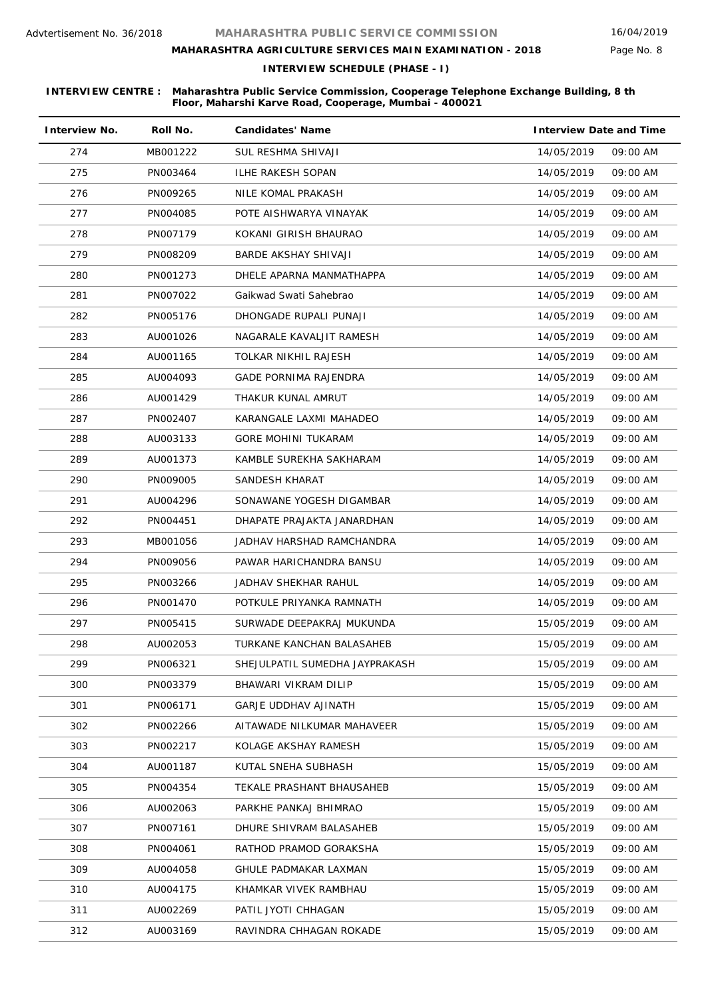# **MAHARASHTRA AGRICULTURE SERVICES MAIN EXAMINATION - 2018**

Page No. 8

**INTERVIEW SCHEDULE (PHASE - I)**

| <b>Interview No.</b> | Roll No. | <b>Candidates' Name</b>        | <b>Interview Date and Time</b> |          |
|----------------------|----------|--------------------------------|--------------------------------|----------|
| 274                  | MB001222 | <b>SUL RESHMA SHIVAJI</b>      | 14/05/2019                     | 09:00 AM |
| 275                  | PN003464 | ILHE RAKESH SOPAN              | 14/05/2019                     | 09:00 AM |
| 276                  | PN009265 | NILE KOMAL PRAKASH             | 14/05/2019                     | 09:00 AM |
| 277                  | PN004085 | POTE AISHWARYA VINAYAK         | 14/05/2019                     | 09:00 AM |
| 278                  | PN007179 | KOKANI GIRISH BHAURAO          | 14/05/2019                     | 09:00 AM |
| 279                  | PN008209 | BARDE AKSHAY SHIVAJI           | 14/05/2019                     | 09:00 AM |
| 280                  | PN001273 | DHELE APARNA MANMATHAPPA       | 14/05/2019                     | 09:00 AM |
| 281                  | PN007022 | Gaikwad Swati Sahebrao         | 14/05/2019                     | 09:00 AM |
| 282                  | PN005176 | DHONGADE RUPALI PUNAJI         | 14/05/2019                     | 09:00 AM |
| 283                  | AU001026 | NAGARALE KAVALJIT RAMESH       | 14/05/2019                     | 09:00 AM |
| 284                  | AU001165 | TOLKAR NIKHIL RAJESH           | 14/05/2019                     | 09:00 AM |
| 285                  | AU004093 | <b>GADE PORNIMA RAJENDRA</b>   | 14/05/2019                     | 09:00 AM |
| 286                  | AU001429 | THAKUR KUNAL AMRUT             | 14/05/2019                     | 09:00 AM |
| 287                  | PN002407 | KARANGALE LAXMI MAHADEO        | 14/05/2019                     | 09:00 AM |
| 288                  | AU003133 | GORE MOHINI TUKARAM            | 14/05/2019                     | 09:00 AM |
| 289                  | AU001373 | KAMBLE SUREKHA SAKHARAM        | 14/05/2019                     | 09:00 AM |
| 290                  | PN009005 | SANDESH KHARAT                 | 14/05/2019                     | 09:00 AM |
| 291                  | AU004296 | SONAWANE YOGESH DIGAMBAR       | 14/05/2019                     | 09:00 AM |
| 292                  | PN004451 | DHAPATE PRAJAKTA JANARDHAN     | 14/05/2019                     | 09:00 AM |
| 293                  | MB001056 | JADHAV HARSHAD RAMCHANDRA      | 14/05/2019                     | 09:00 AM |
| 294                  | PN009056 | PAWAR HARICHANDRA BANSU        | 14/05/2019                     | 09:00 AM |
| 295                  | PN003266 | JADHAV SHEKHAR RAHUL           | 14/05/2019                     | 09:00 AM |
| 296                  | PN001470 | POTKULE PRIYANKA RAMNATH       | 14/05/2019                     | 09:00 AM |
| 297                  | PN005415 | SURWADE DEEPAKRAJ MUKUNDA      | 15/05/2019                     | 09:00 AM |
| 298                  | AU002053 | TURKANE KANCHAN BALASAHEB      | 15/05/2019                     | 09:00 AM |
| 299                  | PN006321 | SHEJULPATIL SUMEDHA JAYPRAKASH | 15/05/2019                     | 09:00 AM |
| 300                  | PN003379 | BHAWARI VIKRAM DILIP           | 15/05/2019                     | 09:00 AM |
| 301                  | PN006171 | <b>GARJE UDDHAV AJINATH</b>    | 15/05/2019                     | 09:00 AM |
| 302                  | PN002266 | AITAWADE NILKUMAR MAHAVEER     | 15/05/2019                     | 09:00 AM |
| 303                  | PN002217 | KOLAGE AKSHAY RAMESH           | 15/05/2019                     | 09:00 AM |
| 304                  | AU001187 | KUTAL SNEHA SUBHASH            | 15/05/2019                     | 09:00 AM |
| 305                  | PN004354 | TEKALE PRASHANT BHAUSAHEB      | 15/05/2019                     | 09:00 AM |
| 306                  | AU002063 | PARKHE PANKAJ BHIMRAO          | 15/05/2019                     | 09:00 AM |
| 307                  | PN007161 | DHURE SHIVRAM BALASAHEB        | 15/05/2019                     | 09:00 AM |
| 308                  | PN004061 | RATHOD PRAMOD GORAKSHA         | 15/05/2019                     | 09:00 AM |
| 309                  | AU004058 | <b>GHULE PADMAKAR LAXMAN</b>   | 15/05/2019                     | 09:00 AM |
| 310                  | AU004175 | KHAMKAR VIVEK RAMBHAU          | 15/05/2019                     | 09:00 AM |
| 311                  | AU002269 | PATIL JYOTI CHHAGAN            | 15/05/2019                     | 09:00 AM |
| 312                  | AU003169 | RAVINDRA CHHAGAN ROKADE        | 15/05/2019                     | 09:00 AM |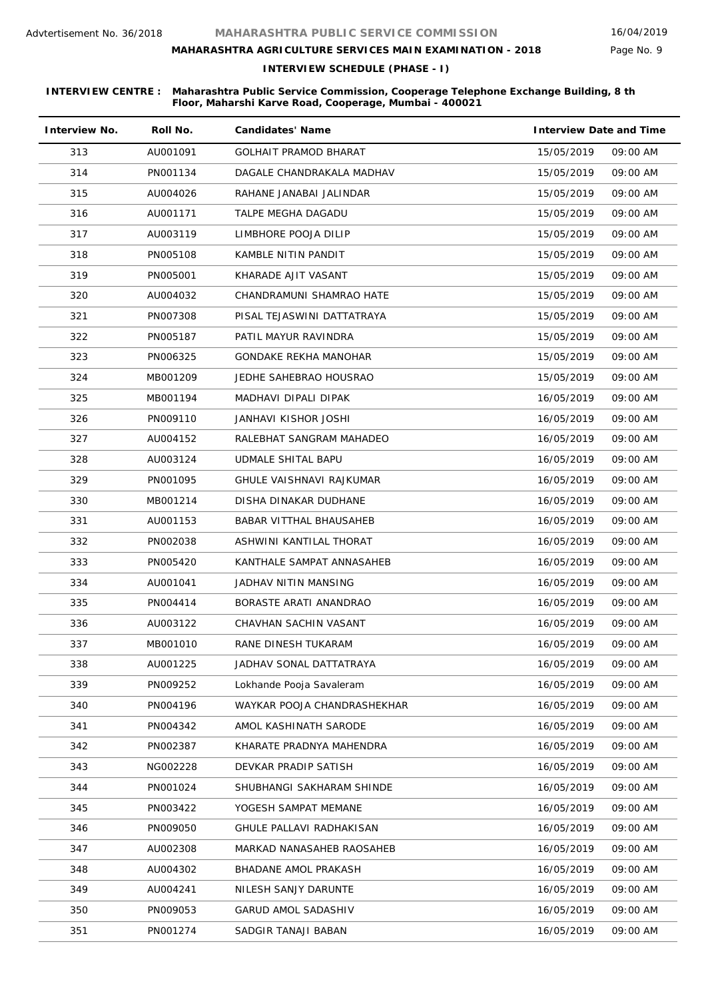# **MAHARASHTRA AGRICULTURE SERVICES MAIN EXAMINATION - 2018**

**INTERVIEW SCHEDULE (PHASE - I)**

| <b>Interview No.</b> | Roll No. | <b>Candidates' Name</b>      | <b>Interview Date and Time</b> |  |
|----------------------|----------|------------------------------|--------------------------------|--|
| 313                  | AU001091 | <b>GOLHAIT PRAMOD BHARAT</b> | 15/05/2019<br>09:00 AM         |  |
| 314                  | PN001134 | DAGALE CHANDRAKALA MADHAV    | 15/05/2019<br>09:00 AM         |  |
| 315                  | AU004026 | RAHANE JANABAI JALINDAR      | 15/05/2019<br>09:00 AM         |  |
| 316                  | AU001171 | TALPE MEGHA DAGADU           | 15/05/2019<br>09:00 AM         |  |
| 317                  | AU003119 | LIMBHORE POOJA DILIP         | 15/05/2019<br>09:00 AM         |  |
| 318                  | PN005108 | KAMBLE NITIN PANDIT          | 15/05/2019<br>09:00 AM         |  |
| 319                  | PN005001 | KHARADE AJIT VASANT          | 15/05/2019<br>09:00 AM         |  |
| 320                  | AU004032 | CHANDRAMUNI SHAMRAO HATE     | 15/05/2019<br>09:00 AM         |  |
| 321                  | PN007308 | PISAL TEJASWINI DATTATRAYA   | 15/05/2019<br>09:00 AM         |  |
| 322                  | PN005187 | PATIL MAYUR RAVINDRA         | 15/05/2019<br>09:00 AM         |  |
| 323                  | PN006325 | <b>GONDAKE REKHA MANOHAR</b> | 15/05/2019<br>09:00 AM         |  |
| 324                  | MB001209 | JEDHE SAHEBRAO HOUSRAO       | 09:00 AM<br>15/05/2019         |  |
| 325                  | MB001194 | MADHAVI DIPALI DIPAK         | 09:00 AM<br>16/05/2019         |  |
| 326                  | PN009110 | JANHAVI KISHOR JOSHI         | 16/05/2019<br>09:00 AM         |  |
| 327                  | AU004152 | RALEBHAT SANGRAM MAHADEO     | 16/05/2019<br>09:00 AM         |  |
| 328                  | AU003124 | UDMALE SHITAL BAPU           | 16/05/2019<br>09:00 AM         |  |
| 329                  | PN001095 | GHULE VAISHNAVI RAJKUMAR     | 16/05/2019<br>09:00 AM         |  |
| 330                  | MB001214 | DISHA DINAKAR DUDHANE        | 16/05/2019<br>09:00 AM         |  |
| 331                  | AU001153 | BABAR VITTHAL BHAUSAHEB      | 16/05/2019<br>09:00 AM         |  |
| 332                  | PN002038 | ASHWINI KANTILAL THORAT      | 16/05/2019<br>09:00 AM         |  |
| 333                  | PN005420 | KANTHALE SAMPAT ANNASAHEB    | 09:00 AM<br>16/05/2019         |  |
| 334                  | AU001041 | JADHAV NITIN MANSING         | 16/05/2019<br>09:00 AM         |  |
| 335                  | PN004414 | BORASTE ARATI ANANDRAO       | 16/05/2019<br>09:00 AM         |  |
| 336                  | AU003122 | CHAVHAN SACHIN VASANT        | 16/05/2019<br>09:00 AM         |  |
| 337                  | MB001010 | RANE DINESH TUKARAM          | 09:00 AM<br>16/05/2019         |  |
| 338                  | AU001225 | JADHAV SONAL DATTATRAYA      | 16/05/2019<br>09:00 AM         |  |
| 339                  | PN009252 | Lokhande Pooja Savaleram     | 16/05/2019<br>09:00 AM         |  |
| 340                  | PN004196 | WAYKAR POOJA CHANDRASHEKHAR  | 09:00 AM<br>16/05/2019         |  |
| 341                  | PN004342 | AMOL KASHINATH SARODE        | 16/05/2019<br>09:00 AM         |  |
| 342                  | PN002387 | KHARATE PRADNYA MAHENDRA     | 16/05/2019<br>09:00 AM         |  |
| 343                  | NG002228 | DEVKAR PRADIP SATISH         | 16/05/2019<br>09:00 AM         |  |
| 344                  | PN001024 | SHUBHANGI SAKHARAM SHINDE    | 16/05/2019<br>09:00 AM         |  |
| 345                  | PN003422 | YOGESH SAMPAT MEMANE         | 16/05/2019<br>09:00 AM         |  |
| 346                  | PN009050 | GHULE PALLAVI RADHAKISAN     | 16/05/2019<br>09:00 AM         |  |
| 347                  | AU002308 | MARKAD NANASAHEB RAOSAHEB    | 16/05/2019<br>09:00 AM         |  |
| 348                  | AU004302 | BHADANE AMOL PRAKASH         | 16/05/2019<br>09:00 AM         |  |
| 349                  | AU004241 | NILESH SANJY DARUNTE         | 16/05/2019<br>09:00 AM         |  |
| 350                  | PN009053 | <b>GARUD AMOL SADASHIV</b>   | 16/05/2019<br>09:00 AM         |  |
| 351                  | PN001274 | SADGIR TANAJI BABAN          | 16/05/2019<br>09:00 AM         |  |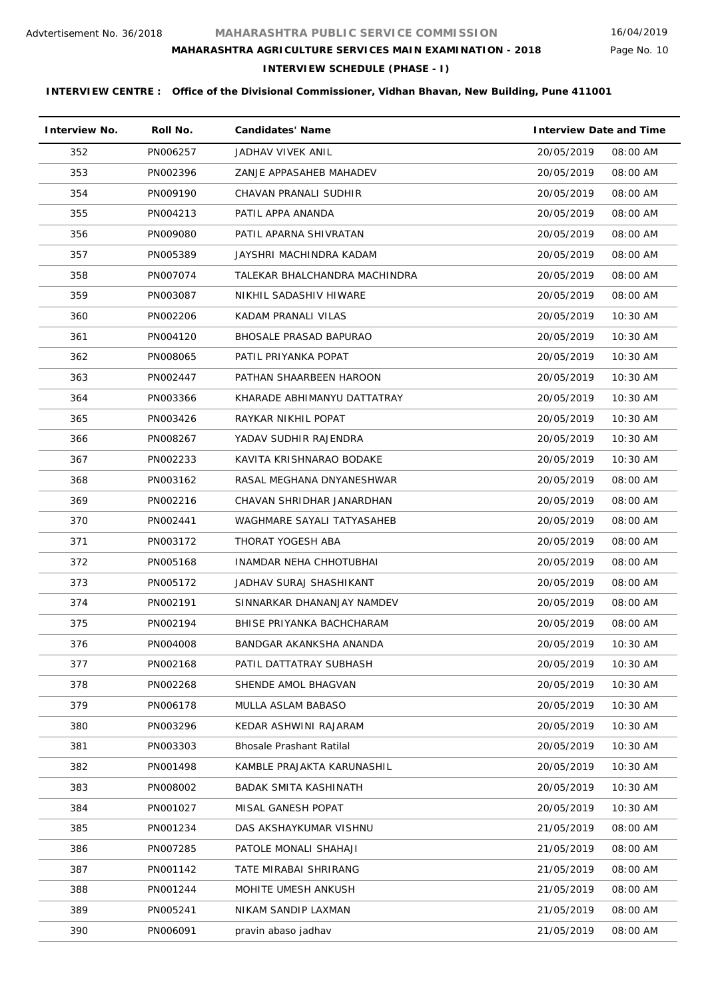Page No. 10

# **MAHARASHTRA AGRICULTURE SERVICES MAIN EXAMINATION - 2018**

**INTERVIEW SCHEDULE (PHASE - I)**

| <b>Interview No.</b> | Roll No. | <b>Candidates' Name</b>         | <b>Interview Date and Time</b> |
|----------------------|----------|---------------------------------|--------------------------------|
| 352                  | PN006257 | JADHAV VIVEK ANIL               | 20/05/2019<br>08:00 AM         |
| 353                  | PN002396 | ZANJE APPASAHEB MAHADEV         | 20/05/2019<br>08:00 AM         |
| 354                  | PN009190 | CHAVAN PRANALI SUDHIR           | 20/05/2019<br>08:00 AM         |
| 355                  | PN004213 | PATIL APPA ANANDA               | 08:00 AM<br>20/05/2019         |
| 356                  | PN009080 | PATIL APARNA SHIVRATAN          | 20/05/2019<br>08:00 AM         |
| 357                  | PN005389 | JAYSHRI MACHINDRA KADAM         | 20/05/2019<br>08:00 AM         |
| 358                  | PN007074 | TALEKAR BHALCHANDRA MACHINDRA   | 20/05/2019<br>08:00 AM         |
| 359                  | PN003087 | NIKHIL SADASHIV HIWARE          | 20/05/2019<br>08:00 AM         |
| 360                  | PN002206 | KADAM PRANALI VILAS             | 20/05/2019<br>$10:30$ AM       |
| 361                  | PN004120 | <b>BHOSALE PRASAD BAPURAO</b>   | 20/05/2019<br>$10:30$ AM       |
| 362                  | PN008065 | PATIL PRIYANKA POPAT            | 20/05/2019<br>$10:30$ AM       |
| 363                  | PN002447 | PATHAN SHAARBEEN HAROON         | 10:30 AM<br>20/05/2019         |
| 364                  | PN003366 | KHARADE ABHIMANYU DATTATRAY     | 20/05/2019<br>$10:30$ AM       |
| 365                  | PN003426 | RAYKAR NIKHIL POPAT             | 20/05/2019<br>10:30 AM         |
| 366                  | PN008267 | YADAV SUDHIR RAJENDRA           | 20/05/2019<br>$10:30$ AM       |
| 367                  | PN002233 | KAVITA KRISHNARAO BODAKE        | 20/05/2019<br>10:30 AM         |
| 368                  | PN003162 | RASAL MEGHANA DNYANESHWAR       | 20/05/2019<br>08:00 AM         |
| 369                  | PN002216 | CHAVAN SHRIDHAR JANARDHAN       | 08:00 AM<br>20/05/2019         |
| 370                  | PN002441 | WAGHMARE SAYALI TATYASAHEB      | 20/05/2019<br>08:00 AM         |
| 371                  | PN003172 | THORAT YOGESH ABA               | 20/05/2019<br>08:00 AM         |
| 372                  | PN005168 | INAMDAR NEHA CHHOTUBHAI         | 20/05/2019<br>08:00 AM         |
| 373                  | PN005172 | JADHAV SURAJ SHASHIKANT         | 20/05/2019<br>08:00 AM         |
| 374                  | PN002191 | SINNARKAR DHANANJAY NAMDEV      | 20/05/2019<br>08:00 AM         |
| 375                  | PN002194 | BHISE PRIYANKA BACHCHARAM       | 20/05/2019<br>08:00 AM         |
| 376                  | PN004008 | BANDGAR AKANKSHA ANANDA         | 20/05/2019<br>10:30 AM         |
| 377                  | PN002168 | PATIL DATTATRAY SUBHASH         | 20/05/2019<br>10:30 AM         |
| 378                  | PN002268 | SHENDE AMOL BHAGVAN             | 20/05/2019<br>10:30 AM         |
| 379                  | PN006178 | MULLA ASLAM BABASO              | 20/05/2019<br>10:30 AM         |
| 380                  | PN003296 | KEDAR ASHWINI RAJARAM           | 20/05/2019<br>10:30 AM         |
| 381                  | PN003303 | <b>Bhosale Prashant Ratilal</b> | 20/05/2019<br>10:30 AM         |
| 382                  | PN001498 | KAMBLE PRAJAKTA KARUNASHIL      | 10:30 AM<br>20/05/2019         |
| 383                  | PN008002 | <b>BADAK SMITA KASHINATH</b>    | 20/05/2019<br>10:30 AM         |
| 384                  | PN001027 | MISAL GANESH POPAT              | 20/05/2019<br>10:30 AM         |
| 385                  | PN001234 | DAS AKSHAYKUMAR VISHNU          | 21/05/2019<br>08:00 AM         |
| 386                  | PN007285 | PATOLE MONALI SHAHAJI           | 08:00 AM<br>21/05/2019         |
| 387                  | PN001142 | TATE MIRABAI SHRIRANG           | 21/05/2019<br>08:00 AM         |
| 388                  | PN001244 | MOHITE UMESH ANKUSH             | 21/05/2019<br>08:00 AM         |
| 389                  | PN005241 | NIKAM SANDIP LAXMAN             | 21/05/2019<br>08:00 AM         |
| 390                  | PN006091 | pravin abaso jadhav             | 21/05/2019<br>08:00 AM         |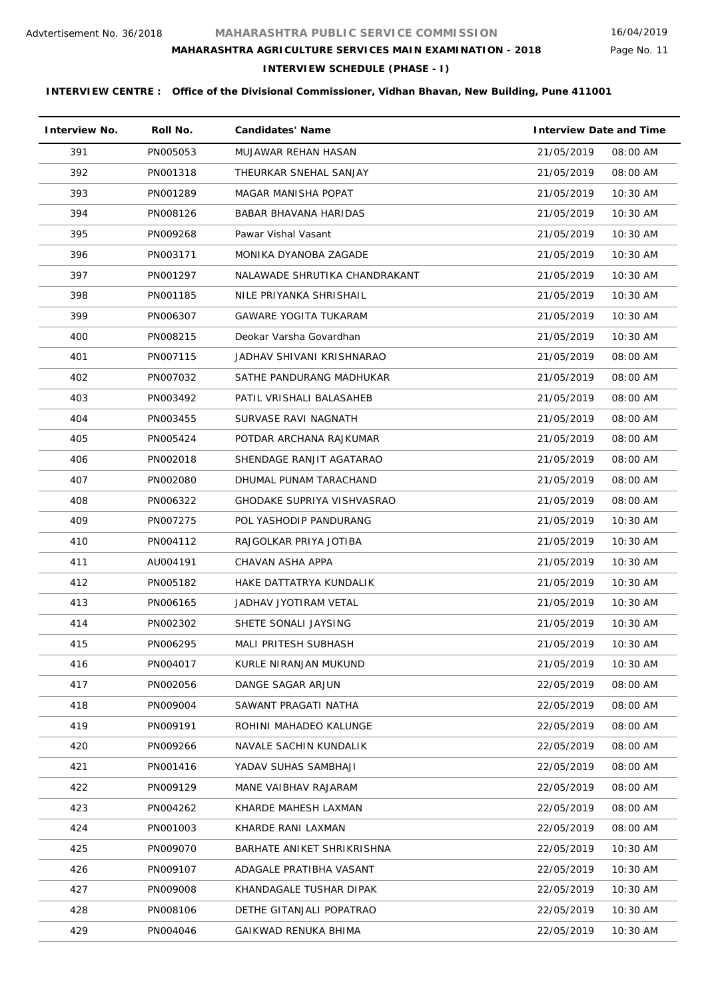Page No. 11

# **MAHARASHTRA AGRICULTURE SERVICES MAIN EXAMINATION - 2018**

**INTERVIEW SCHEDULE (PHASE - I)**

| <b>Interview No.</b> | Roll No. | <b>Candidates' Name</b>       | <b>Interview Date and Time</b> |
|----------------------|----------|-------------------------------|--------------------------------|
| 391                  | PN005053 | MUJAWAR REHAN HASAN           | 21/05/2019<br>08:00 AM         |
| 392                  | PN001318 | THEURKAR SNEHAL SANJAY        | 21/05/2019<br>08:00 AM         |
| 393                  | PN001289 | <b>MAGAR MANISHA POPAT</b>    | 21/05/2019<br>10:30 AM         |
| 394                  | PN008126 | BABAR BHAVANA HARIDAS         | 10:30 AM<br>21/05/2019         |
| 395                  | PN009268 | Pawar Vishal Vasant           | 21/05/2019<br>10:30 AM         |
| 396                  | PN003171 | MONIKA DYANOBA ZAGADE         | 21/05/2019<br>$10:30$ AM       |
| 397                  | PN001297 | NALAWADE SHRUTIKA CHANDRAKANT | 21/05/2019<br>10:30 AM         |
| 398                  | PN001185 | NILE PRIYANKA SHRISHAIL       | 21/05/2019<br>$10:30$ AM       |
| 399                  | PN006307 | <b>GAWARE YOGITA TUKARAM</b>  | 21/05/2019<br>10:30 AM         |
| 400                  | PN008215 | Deokar Varsha Govardhan       | 21/05/2019<br>$10:30$ AM       |
| 401                  | PN007115 | JADHAV SHIVANI KRISHNARAO     | 21/05/2019<br>08:00 AM         |
| 402                  | PN007032 | SATHE PANDURANG MADHUKAR      | 21/05/2019<br>08:00 AM         |
| 403                  | PN003492 | PATIL VRISHALI BALASAHEB      | 08:00 AM<br>21/05/2019         |
| 404                  | PN003455 | SURVASE RAVI NAGNATH          | 21/05/2019<br>08:00 AM         |
| 405                  | PN005424 | POTDAR ARCHANA RAJKUMAR       | 21/05/2019<br>08:00 AM         |
| 406                  | PN002018 | SHENDAGE RANJIT AGATARAO      | 21/05/2019<br>08:00 AM         |
| 407                  | PN002080 | DHUMAL PUNAM TARACHAND        | 21/05/2019<br>08:00 AM         |
| 408                  | PN006322 | GHODAKE SUPRIYA VISHVASRAO    | 21/05/2019<br>08:00 AM         |
| 409                  | PN007275 | POL YASHODIP PANDURANG        | 21/05/2019<br>10:30 AM         |
| 410                  | PN004112 | RAJGOLKAR PRIYA JOTIBA        | 10:30 AM<br>21/05/2019         |
| 411                  | AU004191 | CHAVAN ASHA APPA              | 21/05/2019<br>10:30 AM         |
| 412                  | PN005182 | HAKE DATTATRYA KUNDALIK       | 10:30 AM<br>21/05/2019         |
| 413                  | PN006165 | JADHAV JYOTIRAM VETAL         | 21/05/2019<br>10:30 AM         |
| 414                  | PN002302 | SHETE SONALI JAYSING          | 21/05/2019<br>10:30 AM         |
| 415                  | PN006295 | MALI PRITESH SUBHASH          | 21/05/2019<br>10:30 AM         |
| 416                  | PN004017 | KURLE NIRANJAN MUKUND         | 21/05/2019<br>10:30 AM         |
| 417                  | PN002056 | DANGE SAGAR ARJUN             | 22/05/2019<br>08:00 AM         |
| 418                  | PN009004 | SAWANT PRAGATI NATHA          | 22/05/2019<br>08:00 AM         |
| 419                  | PN009191 | ROHINI MAHADEO KALUNGE        | 22/05/2019<br>08:00 AM         |
| 420                  | PN009266 | NAVALE SACHIN KUNDALIK        | 22/05/2019<br>08:00 AM         |
| 421                  | PN001416 | YADAV SUHAS SAMBHAJI          | 22/05/2019<br>08:00 AM         |
| 422                  | PN009129 | MANE VAIBHAV RAJARAM          | 22/05/2019<br>08:00 AM         |
| 423                  | PN004262 | KHARDE MAHESH LAXMAN          | 22/05/2019<br>08:00 AM         |
| 424                  | PN001003 | KHARDE RANI LAXMAN            | 22/05/2019<br>08:00 AM         |
| 425                  | PN009070 | BARHATE ANIKET SHRIKRISHNA    | 22/05/2019<br>10:30 AM         |
| 426                  | PN009107 | ADAGALE PRATIBHA VASANT       | 22/05/2019<br>10:30 AM         |
| 427                  | PN009008 | KHANDAGALE TUSHAR DIPAK       | 22/05/2019<br>10:30 AM         |
| 428                  | PN008106 | DETHE GITANJALI POPATRAO      | 22/05/2019<br>$10:30$ AM       |
| 429                  | PN004046 | GAIKWAD RENUKA BHIMA          | 22/05/2019<br>10:30 AM         |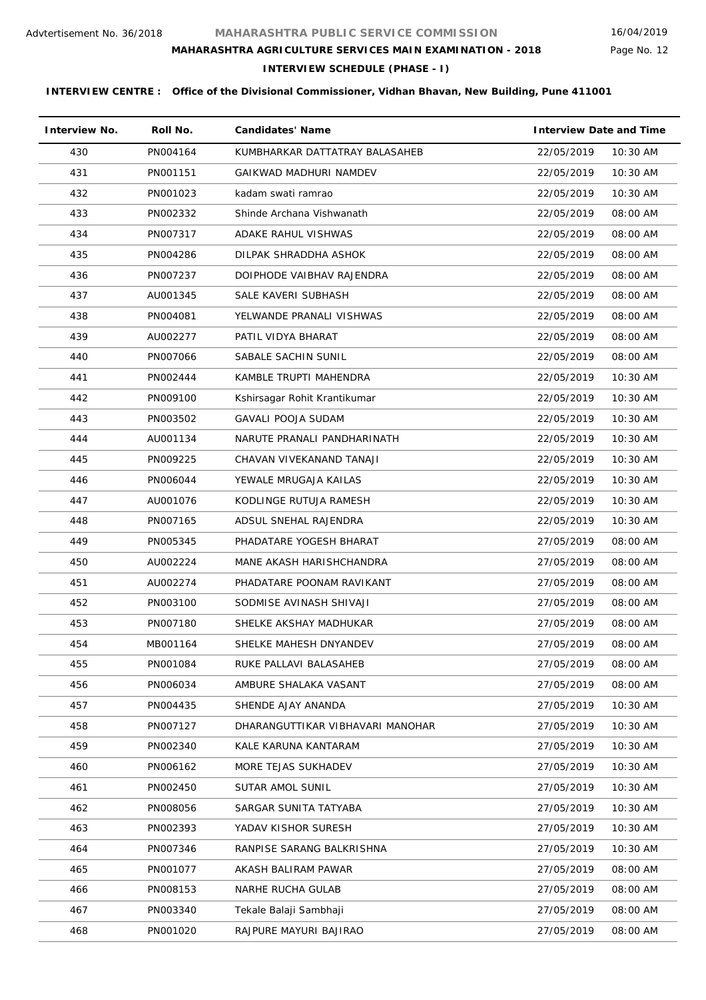Page No. 12

# **MAHARASHTRA AGRICULTURE SERVICES MAIN EXAMINATION - 2018**

**INTERVIEW SCHEDULE (PHASE - I)**

| <b>Interview No.</b> | Roll No. | <b>Candidates' Name</b>          | <b>Interview Date and Time</b> |
|----------------------|----------|----------------------------------|--------------------------------|
| 430                  | PN004164 | KUMBHARKAR DATTATRAY BALASAHEB   | 10:30 AM<br>22/05/2019         |
| 431                  | PN001151 | GAIKWAD MADHURI NAMDEV           | 22/05/2019<br>10:30 AM         |
| 432                  | PN001023 | kadam swati ramrao               | 10:30 AM<br>22/05/2019         |
| 433                  | PN002332 | Shinde Archana Vishwanath        | 22/05/2019<br>08:00 AM         |
| 434                  | PN007317 | ADAKE RAHUL VISHWAS              | 22/05/2019<br>08:00 AM         |
| 435                  | PN004286 | DILPAK SHRADDHA ASHOK            | 22/05/2019<br>08:00 AM         |
| 436                  | PN007237 | DOIPHODE VAIBHAV RAJENDRA        | 22/05/2019<br>08:00 AM         |
| 437                  | AU001345 | SALE KAVERI SUBHASH              | 22/05/2019<br>08:00 AM         |
| 438                  | PN004081 | YELWANDE PRANALI VISHWAS         | 22/05/2019<br>08:00 AM         |
| 439                  | AU002277 | PATIL VIDYA BHARAT               | 22/05/2019<br>08:00 AM         |
| 440                  | PN007066 | SABALE SACHIN SUNIL              | 08:00 AM<br>22/05/2019         |
| 441                  | PN002444 | KAMBLE TRUPTI MAHENDRA           | 22/05/2019<br>10:30 AM         |
| 442                  | PN009100 | Kshirsagar Rohit Krantikumar     | 10:30 AM<br>22/05/2019         |
| 443                  | PN003502 | <b>GAVALI POOJA SUDAM</b>        | 22/05/2019<br>10:30 AM         |
| 444                  | AU001134 | NARUTE PRANALI PANDHARINATH      | 22/05/2019<br>10:30 AM         |
| 445                  | PN009225 | CHAVAN VIVEKANAND TANAJI         | 22/05/2019<br>10:30 AM         |
| 446                  | PN006044 | YEWALE MRUGAJA KAILAS            | 22/05/2019<br>10:30 AM         |
| 447                  | AU001076 | KODLINGE RUTUJA RAMESH           | 22/05/2019<br>10:30 AM         |
| 448                  | PN007165 | ADSUL SNEHAL RAJENDRA            | 10:30 AM<br>22/05/2019         |
| 449                  | PN005345 | PHADATARE YOGESH BHARAT          | 27/05/2019<br>08:00 AM         |
| 450                  | AU002224 | MANE AKASH HARISHCHANDRA         | 27/05/2019<br>08:00 AM         |
| 451                  | AU002274 | PHADATARE POONAM RAVIKANT        | 27/05/2019<br>08:00 AM         |
| 452                  | PN003100 | SODMISE AVINASH SHIVAJI          | 27/05/2019<br>08:00 AM         |
| 453                  | PN007180 | SHELKE AKSHAY MADHUKAR           | 27/05/2019<br>08:00 AM         |
| 454                  | MB001164 | SHELKE MAHESH DNYANDEV           | 27/05/2019<br>08:00 AM         |
| 455                  | PN001084 | RUKE PALLAVI BALASAHEB           | 27/05/2019<br>08:00 AM         |
| 456                  | PN006034 | AMBURE SHALAKA VASANT            | 27/05/2019<br>08:00 AM         |
| 457                  | PN004435 | SHENDE AJAY ANANDA               | 27/05/2019<br>10:30 AM         |
| 458                  | PN007127 | DHARANGUTTIKAR VIBHAVARI MANOHAR | 27/05/2019<br>10:30 AM         |
| 459                  | PN002340 | KALE KARUNA KANTARAM             | 27/05/2019<br>10:30 AM         |
| 460                  | PN006162 | MORE TEJAS SUKHADEV              | 27/05/2019<br>10:30 AM         |
| 461                  | PN002450 | SUTAR AMOL SUNIL                 | 27/05/2019<br>10:30 AM         |
| 462                  | PN008056 | SARGAR SUNITA TATYABA            | 27/05/2019<br>10:30 AM         |
| 463                  | PN002393 | YADAV KISHOR SURESH              | 27/05/2019<br>10:30 AM         |
| 464                  | PN007346 | RANPISE SARANG BALKRISHNA        | 10:30 AM<br>27/05/2019         |
| 465                  | PN001077 | AKASH BALIRAM PAWAR              | 27/05/2019<br>08:00 AM         |
| 466                  | PN008153 | NARHE RUCHA GULAB                | 27/05/2019<br>08:00 AM         |
| 467                  | PN003340 | Tekale Balaji Sambhaji           | 27/05/2019<br>08:00 AM         |
| 468                  | PN001020 | RAJPURE MAYURI BAJIRAO           | 27/05/2019<br>08:00 AM         |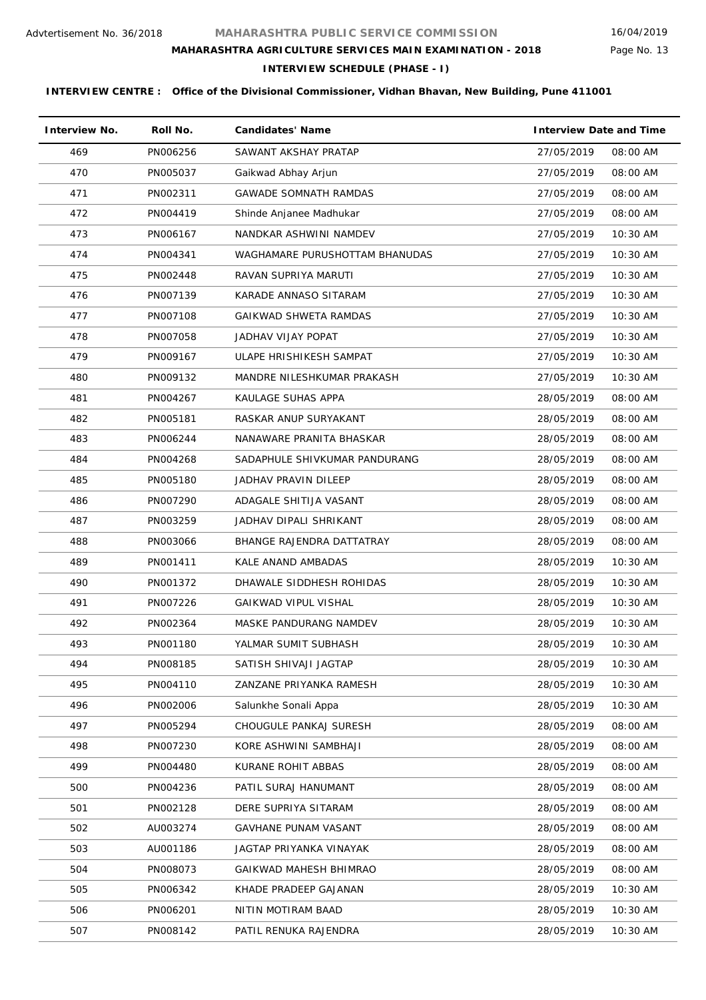Page No. 13

# **MAHARASHTRA AGRICULTURE SERVICES MAIN EXAMINATION - 2018**

**INTERVIEW SCHEDULE (PHASE - I)**

| <b>Interview No.</b> | Roll No. | <b>Candidates' Name</b>        | <b>Interview Date and Time</b> |            |
|----------------------|----------|--------------------------------|--------------------------------|------------|
| 469                  | PN006256 | SAWANT AKSHAY PRATAP           | 27/05/2019                     | 08:00 AM   |
| 470                  | PN005037 | Gaikwad Abhay Arjun            | 27/05/2019                     | 08:00 AM   |
| 471                  | PN002311 | <b>GAWADE SOMNATH RAMDAS</b>   | 27/05/2019                     | 08:00 AM   |
| 472                  | PN004419 | Shinde Anjanee Madhukar        | 27/05/2019                     | 08:00 AM   |
| 473                  | PN006167 | NANDKAR ASHWINI NAMDEV         | 27/05/2019                     | 10:30 AM   |
| 474                  | PN004341 | WAGHAMARE PURUSHOTTAM BHANUDAS | 27/05/2019                     | 10:30 AM   |
| 475                  | PN002448 | RAVAN SUPRIYA MARUTI           | 27/05/2019                     | 10:30 AM   |
| 476                  | PN007139 | KARADE ANNASO SITARAM          | 27/05/2019                     | $10:30$ AM |
| 477                  | PN007108 | GAIKWAD SHWETA RAMDAS          | 27/05/2019                     | 10:30 AM   |
| 478                  | PN007058 | JADHAV VIJAY POPAT             | 27/05/2019                     | 10:30 AM   |
| 479                  | PN009167 | ULAPE HRISHIKESH SAMPAT        | 27/05/2019                     | 10:30 AM   |
| 480                  | PN009132 | MANDRE NILESHKUMAR PRAKASH     | 27/05/2019                     | 10:30 AM   |
| 481                  | PN004267 | KAULAGE SUHAS APPA             | 28/05/2019                     | 08:00 AM   |
| 482                  | PN005181 | RASKAR ANUP SURYAKANT          | 28/05/2019                     | 08:00 AM   |
| 483                  | PN006244 | NANAWARE PRANITA BHASKAR       | 28/05/2019                     | 08:00 AM   |
| 484                  | PN004268 | SADAPHULE SHIVKUMAR PANDURANG  | 28/05/2019                     | 08:00 AM   |
| 485                  | PN005180 | JADHAV PRAVIN DILEEP           | 28/05/2019                     | 08:00 AM   |
| 486                  | PN007290 | ADAGALE SHITIJA VASANT         | 28/05/2019                     | 08:00 AM   |
| 487                  | PN003259 | JADHAV DIPALI SHRIKANT         | 28/05/2019                     | 08:00 AM   |
| 488                  | PN003066 | BHANGE RAJENDRA DATTATRAY      | 28/05/2019                     | 08:00 AM   |
| 489                  | PN001411 | KALE ANAND AMBADAS             | 28/05/2019                     | 10:30 AM   |
| 490                  | PN001372 | DHAWALE SIDDHESH ROHIDAS       | 28/05/2019                     | 10:30 AM   |
| 491                  | PN007226 | <b>GAIKWAD VIPUL VISHAL</b>    | 28/05/2019                     | 10:30 AM   |
| 492                  | PN002364 | MASKE PANDURANG NAMDEV         | 28/05/2019                     | $10:30$ AM |
| 493                  | PN001180 | YALMAR SUMIT SUBHASH           | 28/05/2019                     | 10:30 AM   |
| 494                  | PN008185 | SATISH SHIVAJI JAGTAP          | 28/05/2019                     | 10:30 AM   |
| 495                  | PN004110 | ZANZANE PRIYANKA RAMESH        | 28/05/2019                     | 10:30 AM   |
| 496                  | PN002006 | Salunkhe Sonali Appa           | 28/05/2019                     | 10:30 AM   |
| 497                  | PN005294 | CHOUGULE PANKAJ SURESH         | 28/05/2019                     | 08:00 AM   |
| 498                  | PN007230 | KORE ASHWINI SAMBHAJI          | 28/05/2019                     | 08:00 AM   |
| 499                  | PN004480 | KURANE ROHIT ABBAS             | 28/05/2019                     | 08:00 AM   |
| 500                  | PN004236 | PATIL SURAJ HANUMANT           | 28/05/2019                     | 08:00 AM   |
| 501                  | PN002128 | DERE SUPRIYA SITARAM           | 28/05/2019                     | 08:00 AM   |
| 502                  | AU003274 | GAVHANE PUNAM VASANT           | 28/05/2019                     | 08:00 AM   |
| 503                  | AU001186 | JAGTAP PRIYANKA VINAYAK        | 28/05/2019                     | 08:00 AM   |
| 504                  | PN008073 | GAIKWAD MAHESH BHIMRAO         | 28/05/2019                     | 08:00 AM   |
| 505                  | PN006342 | KHADE PRADEEP GAJANAN          | 28/05/2019                     | 10:30 AM   |
| 506                  | PN006201 | NITIN MOTIRAM BAAD             | 28/05/2019                     | 10:30 AM   |
| 507                  | PN008142 | PATIL RENUKA RAJENDRA          | 28/05/2019                     | 10:30 AM   |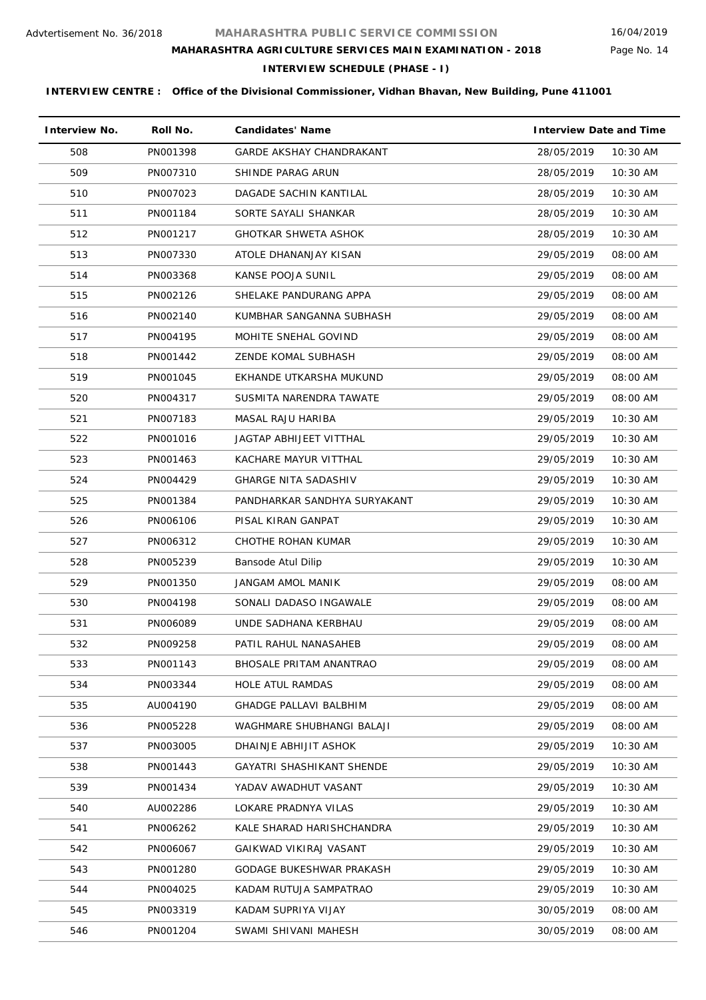Page No. 14

# **MAHARASHTRA AGRICULTURE SERVICES MAIN EXAMINATION - 2018**

**INTERVIEW SCHEDULE (PHASE - I)**

| <b>Interview No.</b> | Roll No. | <b>Candidates' Name</b>          | <b>Interview Date and Time</b> |
|----------------------|----------|----------------------------------|--------------------------------|
| 508                  | PN001398 | <b>GARDE AKSHAY CHANDRAKANT</b>  | 10:30 AM<br>28/05/2019         |
| 509                  | PN007310 | SHINDE PARAG ARUN                | 28/05/2019<br>10:30 AM         |
| 510                  | PN007023 | DAGADE SACHIN KANTILAL           | 10:30 AM<br>28/05/2019         |
| 511                  | PN001184 | SORTE SAYALI SHANKAR             | 10:30 AM<br>28/05/2019         |
| 512                  | PN001217 | <b>GHOTKAR SHWETA ASHOK</b>      | 28/05/2019<br>10:30 AM         |
| 513                  | PN007330 | ATOLE DHANANJAY KISAN            | 29/05/2019<br>08:00 AM         |
| 514                  | PN003368 | KANSE POOJA SUNIL                | 29/05/2019<br>08:00 AM         |
| 515                  | PN002126 | SHELAKE PANDURANG APPA           | 29/05/2019<br>08:00 AM         |
| 516                  | PN002140 | KUMBHAR SANGANNA SUBHASH         | 29/05/2019<br>08:00 AM         |
| 517                  | PN004195 | MOHITE SNEHAL GOVIND             | 29/05/2019<br>08:00 AM         |
| 518                  | PN001442 | <b>ZENDE KOMAL SUBHASH</b>       | 29/05/2019<br>08:00 AM         |
| 519                  | PN001045 | EKHANDE UTKARSHA MUKUND          | 29/05/2019<br>08:00 AM         |
| 520                  | PN004317 | SUSMITA NARENDRA TAWATE          | 29/05/2019<br>08:00 AM         |
| 521                  | PN007183 | <b>MASAL RAJU HARIBA</b>         | 10:30 AM<br>29/05/2019         |
| 522                  | PN001016 | JAGTAP ABHIJEET VITTHAL          | 29/05/2019<br>10:30 AM         |
| 523                  | PN001463 | KACHARE MAYUR VITTHAL            | 29/05/2019<br>10:30 AM         |
| 524                  | PN004429 | <b>GHARGE NITA SADASHIV</b>      | 29/05/2019<br>$10:30$ AM       |
| 525                  | PN001384 | PANDHARKAR SANDHYA SURYAKANT     | 29/05/2019<br>10:30 AM         |
| 526                  | PN006106 | PISAL KIRAN GANPAT               | 29/05/2019<br>10:30 AM         |
| 527                  | PN006312 | CHOTHE ROHAN KUMAR               | 29/05/2019<br>$10:30$ AM       |
| 528                  | PN005239 | Bansode Atul Dilip               | 29/05/2019<br>10:30 AM         |
| 529                  | PN001350 | <b>JANGAM AMOL MANIK</b>         | 29/05/2019<br>08:00 AM         |
| 530                  | PN004198 | SONALI DADASO INGAWALE           | 29/05/2019<br>08:00 AM         |
| 531                  | PN006089 | UNDE SADHANA KERBHAU             | 29/05/2019<br>08:00 AM         |
| 532                  | PN009258 | PATIL RAHUL NANASAHEB            | 29/05/2019<br>08:00 AM         |
| 533                  | PN001143 | <b>BHOSALE PRITAM ANANTRAO</b>   | 29/05/2019<br>08:00 AM         |
| 534                  | PN003344 | <b>HOLE ATUL RAMDAS</b>          | 29/05/2019<br>08:00 AM         |
| 535                  | AU004190 | <b>GHADGE PALLAVI BALBHIM</b>    | 29/05/2019<br>08:00 AM         |
| 536                  | PN005228 | WAGHMARE SHUBHANGI BALAJI        | 29/05/2019<br>08:00 AM         |
| 537                  | PN003005 | DHAINJE ABHIJIT ASHOK            | 29/05/2019<br>10:30 AM         |
| 538                  | PN001443 | <b>GAYATRI SHASHIKANT SHENDE</b> | 29/05/2019<br>10:30 AM         |
| 539                  | PN001434 | YADAV AWADHUT VASANT             | 29/05/2019<br>10:30 AM         |
| 540                  | AU002286 | LOKARE PRADNYA VILAS             | 29/05/2019<br>10:30 AM         |
| 541                  | PN006262 | KALE SHARAD HARISHCHANDRA        | 29/05/2019<br>10:30 AM         |
| 542                  | PN006067 | GAIKWAD VIKIRAJ VASANT           | 29/05/2019<br>10:30 AM         |
| 543                  | PN001280 | <b>GODAGE BUKESHWAR PRAKASH</b>  | 29/05/2019<br>10:30 AM         |
| 544                  | PN004025 | KADAM RUTUJA SAMPATRAO           | 29/05/2019<br>10:30 AM         |
| 545                  | PN003319 | KADAM SUPRIYA VIJAY              | 30/05/2019<br>08:00 AM         |
| 546                  | PN001204 | SWAMI SHIVANI MAHESH             | 30/05/2019<br>08:00 AM         |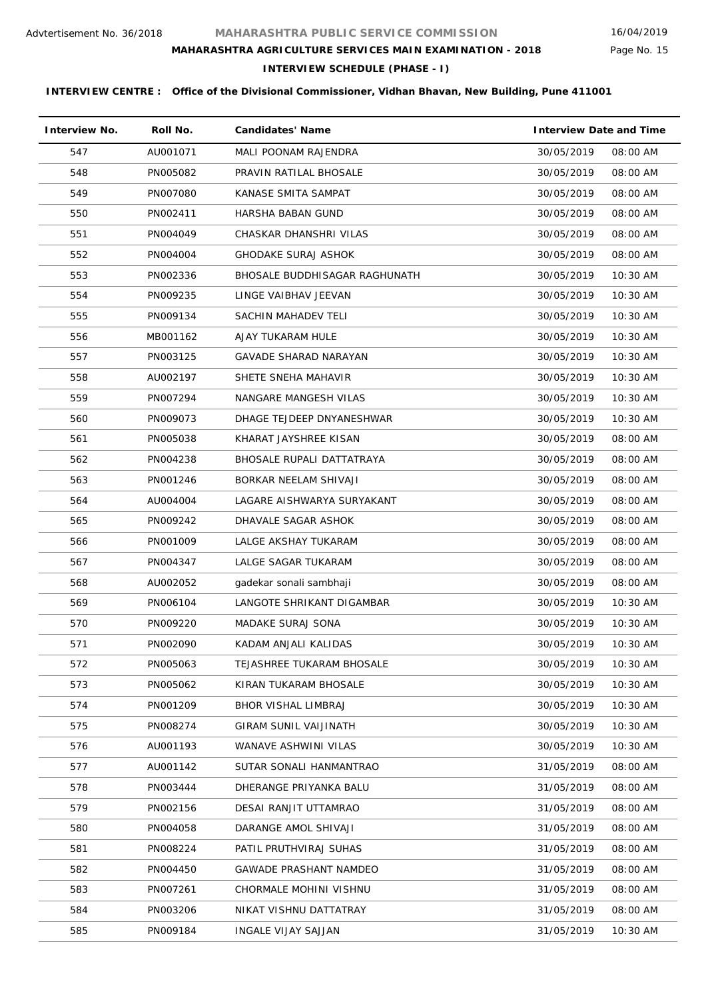# **MAHARASHTRA AGRICULTURE SERVICES MAIN EXAMINATION - 2018**

**INTERVIEW SCHEDULE (PHASE - I)**

| <b>Interview No.</b> | Roll No. | <b>Candidates' Name</b>       | <b>Interview Date and Time</b> |
|----------------------|----------|-------------------------------|--------------------------------|
| 547                  | AU001071 | MALI POONAM RAJENDRA          | 30/05/2019<br>08:00 AM         |
| 548                  | PN005082 | PRAVIN RATILAL BHOSALE        | 30/05/2019<br>08:00 AM         |
| 549                  | PN007080 | KANASE SMITA SAMPAT           | 08:00 AM<br>30/05/2019         |
| 550                  | PN002411 | HARSHA BABAN GUND             | 30/05/2019<br>08:00 AM         |
| 551                  | PN004049 | CHASKAR DHANSHRI VILAS        | 08:00 AM<br>30/05/2019         |
| 552                  | PN004004 | <b>GHODAKE SURAJ ASHOK</b>    | 30/05/2019<br>08:00 AM         |
| 553                  | PN002336 | BHOSALE BUDDHISAGAR RAGHUNATH | 30/05/2019<br>10:30 AM         |
| 554                  | PN009235 | LINGE VAIBHAV JEEVAN          | 30/05/2019<br>10:30 AM         |
| 555                  | PN009134 | SACHIN MAHADEV TELI           | 30/05/2019<br>10:30 AM         |
| 556                  | MB001162 | AJAY TUKARAM HULE             | 30/05/2019<br>10:30 AM         |
| 557                  | PN003125 | <b>GAVADE SHARAD NARAYAN</b>  | 10:30 AM<br>30/05/2019         |
| 558                  | AU002197 | SHETE SNEHA MAHAVIR           | 30/05/2019<br>10:30 AM         |
| 559                  | PN007294 | NANGARE MANGESH VILAS         | 10:30 AM<br>30/05/2019         |
| 560                  | PN009073 | DHAGE TEJDEEP DNYANESHWAR     | 10:30 AM<br>30/05/2019         |
| 561                  | PN005038 | KHARAT JAYSHREE KISAN         | 30/05/2019<br>08:00 AM         |
| 562                  | PN004238 | BHOSALE RUPALI DATTATRAYA     | 30/05/2019<br>08:00 AM         |
| 563                  | PN001246 | BORKAR NEELAM SHIVAJI         | 30/05/2019<br>08:00 AM         |
| 564                  | AU004004 | LAGARE AISHWARYA SURYAKANT    | 30/05/2019<br>08:00 AM         |
| 565                  | PN009242 | DHAVALE SAGAR ASHOK           | 30/05/2019<br>08:00 AM         |
| 566                  | PN001009 | LALGE AKSHAY TUKARAM          | 30/05/2019<br>08:00 AM         |
| 567                  | PN004347 | LALGE SAGAR TUKARAM           | 30/05/2019<br>08:00 AM         |
| 568                  | AU002052 | gadekar sonali sambhaji       | 30/05/2019<br>08:00 AM         |
| 569                  | PN006104 | LANGOTE SHRIKANT DIGAMBAR     | 30/05/2019<br>10:30 AM         |
| 570                  | PN009220 | <b>MADAKE SURAJ SONA</b>      | 30/05/2019<br>$10:30$ AM       |
| 571                  | PN002090 | KADAM ANJALI KALIDAS          | 30/05/2019<br>$10:30$ AM       |
| 572                  | PN005063 | TEJASHREE TUKARAM BHOSALE     | 30/05/2019<br>10:30 AM         |
| 573                  | PN005062 | KIRAN TUKARAM BHOSALE         | 30/05/2019<br>10:30 AM         |
| 574                  | PN001209 | BHOR VISHAL LIMBRAJ           | 30/05/2019<br>$10:30$ AM       |
| 575                  | PN008274 | <b>GIRAM SUNIL VAIJINATH</b>  | 30/05/2019<br>10:30 AM         |
| 576                  | AU001193 | WANAVE ASHWINI VILAS          | 30/05/2019<br>10:30 AM         |
| 577                  | AU001142 | SUTAR SONALI HANMANTRAO       | 31/05/2019<br>08:00 AM         |
| 578                  | PN003444 | DHERANGE PRIYANKA BALU        | 31/05/2019<br>08:00 AM         |
| 579                  | PN002156 | DESAI RANJIT UTTAMRAO         | 31/05/2019<br>08:00 AM         |
| 580                  | PN004058 | DARANGE AMOL SHIVAJI          | 31/05/2019<br>08:00 AM         |
| 581                  | PN008224 | PATIL PRUTHVIRAJ SUHAS        | 31/05/2019<br>08:00 AM         |
| 582                  | PN004450 | <b>GAWADE PRASHANT NAMDEO</b> | 31/05/2019<br>08:00 AM         |
| 583                  | PN007261 | CHORMALE MOHINI VISHNU        | 31/05/2019<br>08:00 AM         |
| 584                  | PN003206 | NIKAT VISHNU DATTATRAY        | 31/05/2019<br>08:00 AM         |
| 585                  | PN009184 | INGALE VIJAY SAJJAN           | 31/05/2019<br>10:30 AM         |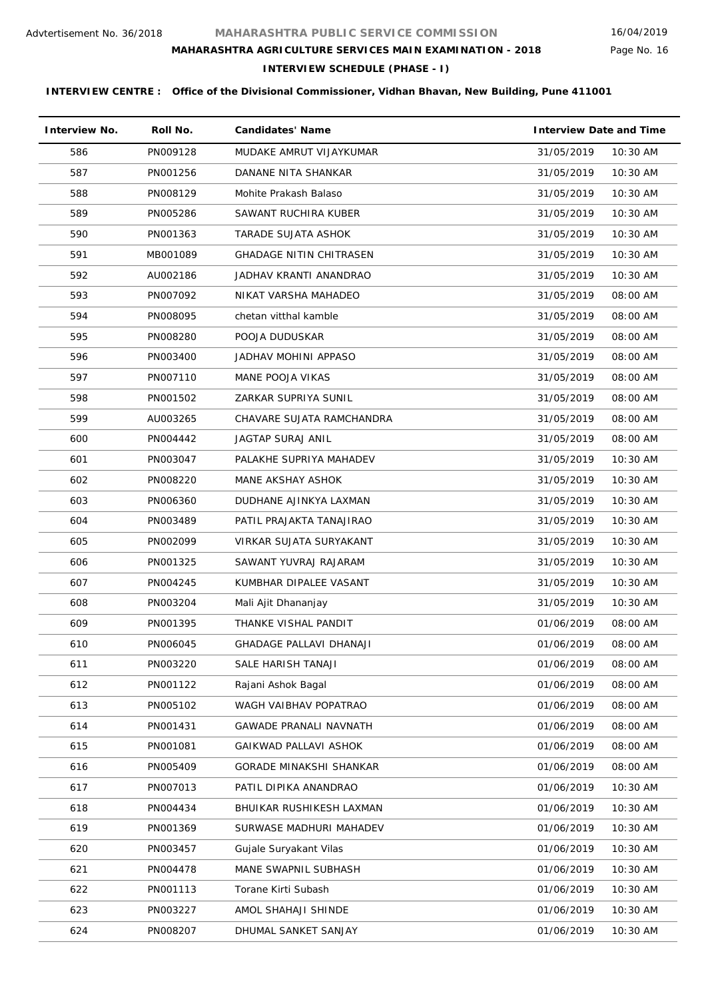Page No. 16

# **MAHARASHTRA AGRICULTURE SERVICES MAIN EXAMINATION - 2018**

**INTERVIEW SCHEDULE (PHASE - I)**

| <b>Interview No.</b> | Roll No. | <b>Candidates' Name</b>        | <b>Interview Date and Time</b> |
|----------------------|----------|--------------------------------|--------------------------------|
| 586                  | PN009128 | MUDAKE AMRUT VIJAYKUMAR        | 31/05/2019<br>10:30 AM         |
| 587                  | PN001256 | DANANE NITA SHANKAR            | 31/05/2019<br>10:30 AM         |
| 588                  | PN008129 | Mohite Prakash Balaso          | 31/05/2019<br>10:30 AM         |
| 589                  | PN005286 | SAWANT RUCHIRA KUBER           | 31/05/2019<br>10:30 AM         |
| 590                  | PN001363 | TARADE SUJATA ASHOK            | 31/05/2019<br>10:30 AM         |
| 591                  | MB001089 | <b>GHADAGE NITIN CHITRASEN</b> | 31/05/2019<br>10:30 AM         |
| 592                  | AU002186 | JADHAV KRANTI ANANDRAO         | 31/05/2019<br>10:30 AM         |
| 593                  | PN007092 | NIKAT VARSHA MAHADEO           | 31/05/2019<br>08:00 AM         |
| 594                  | PN008095 | chetan vitthal kamble          | 31/05/2019<br>08:00 AM         |
| 595                  | PN008280 | POOJA DUDUSKAR                 | 31/05/2019<br>08:00 AM         |
| 596                  | PN003400 | JADHAV MOHINI APPASO           | 31/05/2019<br>08:00 AM         |
| 597                  | PN007110 | MANE POOJA VIKAS               | 08:00 AM<br>31/05/2019         |
| 598                  | PN001502 | ZARKAR SUPRIYA SUNIL           | 08:00 AM<br>31/05/2019         |
| 599                  | AU003265 | CHAVARE SUJATA RAMCHANDRA      | 31/05/2019<br>08:00 AM         |
| 600                  | PN004442 | <b>JAGTAP SURAJ ANIL</b>       | 31/05/2019<br>08:00 AM         |
| 601                  | PN003047 | PALAKHE SUPRIYA MAHADEV        | 31/05/2019<br>10:30 AM         |
| 602                  | PN008220 | MANE AKSHAY ASHOK              | 31/05/2019<br>$10:30$ AM       |
| 603                  | PN006360 | DUDHANE AJINKYA LAXMAN         | 31/05/2019<br>10:30 AM         |
| 604                  | PN003489 | PATIL PRAJAKTA TANAJIRAO       | 31/05/2019<br>10:30 AM         |
| 605                  | PN002099 | VIRKAR SUJATA SURYAKANT        | 31/05/2019<br>10:30 AM         |
| 606                  | PN001325 | SAWANT YUVRAJ RAJARAM          | 31/05/2019<br>10:30 AM         |
| 607                  | PN004245 | KUMBHAR DIPALEE VASANT         | 31/05/2019<br>$10:30$ AM       |
| 608                  | PN003204 | Mali Ajit Dhananjay            | 31/05/2019<br>10:30 AM         |
| 609                  | PN001395 | THANKE VISHAL PANDIT           | 01/06/2019<br>08:00 AM         |
| 610                  | PN006045 | <b>GHADAGE PALLAVI DHANAJI</b> | 01/06/2019<br>08:00 AM         |
| 611                  | PN003220 | SALE HARISH TANAJI             | 08:00 AM<br>01/06/2019         |
| 612                  | PN001122 | Rajani Ashok Bagal             | 01/06/2019<br>08:00 AM         |
| 613                  | PN005102 | WAGH VAIBHAV POPATRAO          | 01/06/2019<br>08:00 AM         |
| 614                  | PN001431 | <b>GAWADE PRANALI NAVNATH</b>  | 01/06/2019<br>08:00 AM         |
| 615                  | PN001081 | GAIKWAD PALLAVI ASHOK          | 01/06/2019<br>08:00 AM         |
| 616                  | PN005409 | GORADE MINAKSHI SHANKAR        | 01/06/2019<br>08:00 AM         |
| 617                  | PN007013 | PATIL DIPIKA ANANDRAO          | 01/06/2019<br>10:30 AM         |
| 618                  | PN004434 | BHUIKAR RUSHIKESH LAXMAN       | 01/06/2019<br>10:30 AM         |
| 619                  | PN001369 | SURWASE MADHURI MAHADEV        | 01/06/2019<br>10:30 AM         |
| 620                  | PN003457 | Gujale Suryakant Vilas         | 01/06/2019<br>10:30 AM         |
| 621                  | PN004478 | MANE SWAPNIL SUBHASH           | 01/06/2019<br>10:30 AM         |
| 622                  | PN001113 | Torane Kirti Subash            | 01/06/2019<br>10:30 AM         |
| 623                  | PN003227 | AMOL SHAHAJI SHINDE            | 01/06/2019<br>10:30 AM         |
| 624                  | PN008207 | DHUMAL SANKET SANJAY           | 01/06/2019<br>10:30 AM         |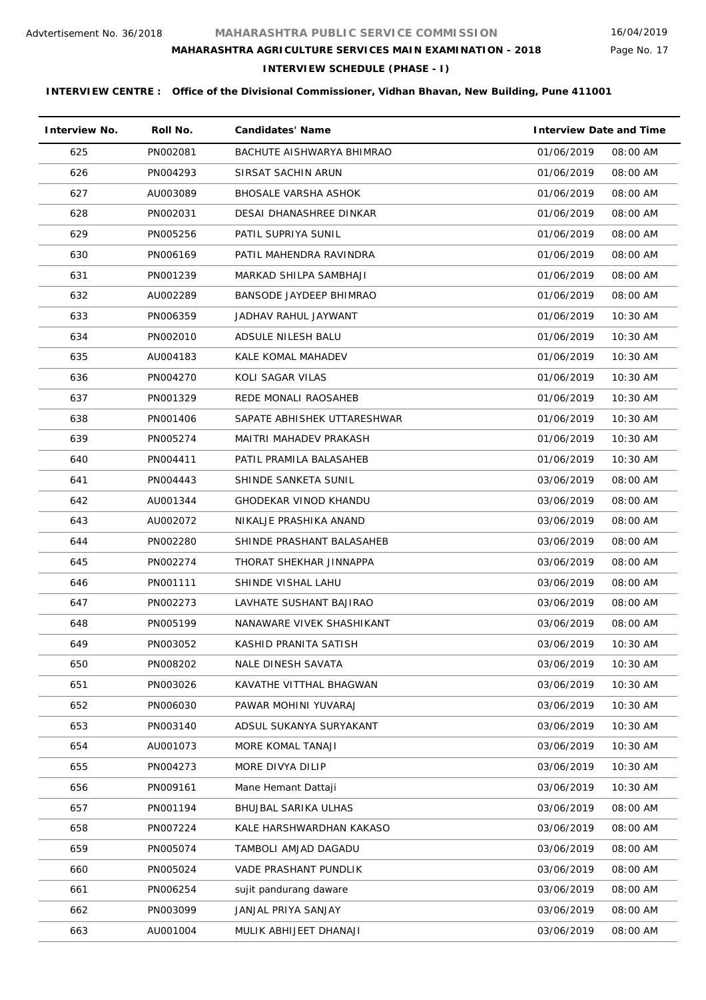Page No. 17

# **MAHARASHTRA AGRICULTURE SERVICES MAIN EXAMINATION - 2018**

**INTERVIEW SCHEDULE (PHASE - I)**

| <b>Interview No.</b> | Roll No. | <b>Candidates' Name</b>     | <b>Interview Date and Time</b> |
|----------------------|----------|-----------------------------|--------------------------------|
| 625                  | PN002081 | BACHUTE AISHWARYA BHIMRAO   | 01/06/2019<br>08:00 AM         |
| 626                  | PN004293 | SIRSAT SACHIN ARUN          | 01/06/2019<br>08:00 AM         |
| 627                  | AU003089 | <b>BHOSALE VARSHA ASHOK</b> | 01/06/2019<br>08:00 AM         |
| 628                  | PN002031 | DESAI DHANASHREE DINKAR     | 01/06/2019<br>08:00 AM         |
| 629                  | PN005256 | PATIL SUPRIYA SUNIL         | 01/06/2019<br>08:00 AM         |
| 630                  | PN006169 | PATIL MAHENDRA RAVINDRA     | 01/06/2019<br>08:00 AM         |
| 631                  | PN001239 | MARKAD SHILPA SAMBHAJI      | 01/06/2019<br>08:00 AM         |
| 632                  | AU002289 | BANSODE JAYDEEP BHIMRAO     | 01/06/2019<br>08:00 AM         |
| 633                  | PN006359 | JADHAV RAHUL JAYWANT        | 01/06/2019<br>10:30 AM         |
| 634                  | PN002010 | ADSULE NILESH BALU          | 01/06/2019<br>$10:30$ AM       |
| 635                  | AU004183 | KALE KOMAL MAHADEV          | 01/06/2019<br>10:30 AM         |
| 636                  | PN004270 | KOLI SAGAR VILAS            | 01/06/2019<br>$10:30$ AM       |
| 637                  | PN001329 | REDE MONALI RAOSAHEB        | 01/06/2019<br>10:30 AM         |
| 638                  | PN001406 | SAPATE ABHISHEK UTTARESHWAR | 01/06/2019<br>$10:30$ AM       |
| 639                  | PN005274 | MAITRI MAHADEV PRAKASH      | 01/06/2019<br>10:30 AM         |
| 640                  | PN004411 | PATIL PRAMILA BALASAHEB     | 01/06/2019<br>10:30 AM         |
| 641                  | PN004443 | SHINDE SANKETA SUNIL        | 03/06/2019<br>08:00 AM         |
| 642                  | AU001344 | GHODEKAR VINOD KHANDU       | 03/06/2019<br>08:00 AM         |
| 643                  | AU002072 | NIKALJE PRASHIKA ANAND      | 03/06/2019<br>08:00 AM         |
| 644                  | PN002280 | SHINDE PRASHANT BALASAHEB   | 08:00 AM<br>03/06/2019         |
| 645                  | PN002274 | THORAT SHEKHAR JINNAPPA     | 03/06/2019<br>08:00 AM         |
| 646                  | PN001111 | SHINDE VISHAL LAHU          | 03/06/2019<br>08:00 AM         |
| 647                  | PN002273 | LAVHATE SUSHANT BAJIRAO     | 03/06/2019<br>08:00 AM         |
| 648                  | PN005199 | NANAWARE VIVEK SHASHIKANT   | 03/06/2019<br>08:00 AM         |
| 649                  | PN003052 | KASHID PRANITA SATISH       | 03/06/2019<br>10:30 AM         |
| 650                  | PN008202 | NALE DINESH SAVATA          | 03/06/2019<br>10:30 AM         |
| 651                  | PN003026 | KAVATHE VITTHAL BHAGWAN     | 03/06/2019<br>10:30 AM         |
| 652                  | PN006030 | PAWAR MOHINI YUVARAJ        | 10:30 AM<br>03/06/2019         |
| 653                  | PN003140 | ADSUL SUKANYA SURYAKANT     | 03/06/2019<br>10:30 AM         |
| 654                  | AU001073 | MORE KOMAL TANAJI           | 03/06/2019<br>10:30 AM         |
| 655                  | PN004273 | MORE DIVYA DILIP            | 03/06/2019<br>10:30 AM         |
| 656                  | PN009161 | Mane Hemant Dattaji         | 03/06/2019<br>10:30 AM         |
| 657                  | PN001194 | BHUJBAL SARIKA ULHAS        | 03/06/2019<br>08:00 AM         |
| 658                  | PN007224 | KALE HARSHWARDHAN KAKASO    | 03/06/2019<br>08:00 AM         |
| 659                  | PN005074 | TAMBOLI AMJAD DAGADU        | 03/06/2019<br>08:00 AM         |
| 660                  | PN005024 | VADE PRASHANT PUNDLIK       | 08:00 AM<br>03/06/2019         |
| 661                  | PN006254 | sujit pandurang daware      | 03/06/2019<br>08:00 AM         |
| 662                  | PN003099 | JANJAL PRIYA SANJAY         | 08:00 AM<br>03/06/2019         |
| 663                  | AU001004 | MULIK ABHIJEET DHANAJI      | 03/06/2019<br>08:00 AM         |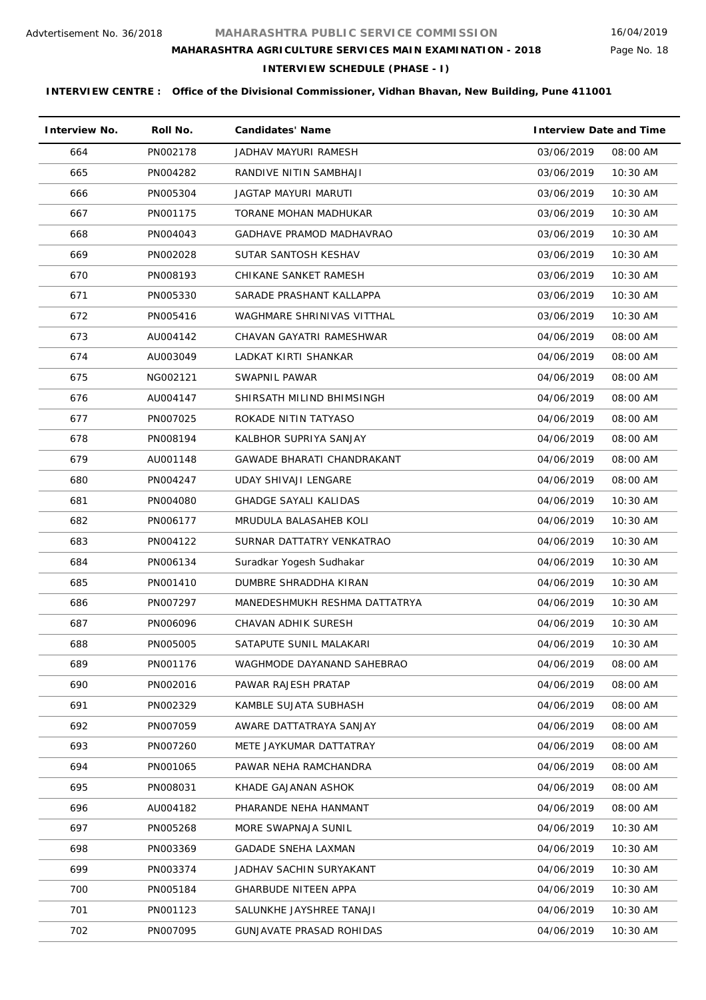# **MAHARASHTRA AGRICULTURE SERVICES MAIN EXAMINATION - 2018**

**INTERVIEW SCHEDULE (PHASE - I)**

| <b>Interview No.</b> | Roll No. | <b>Candidates' Name</b>           | <b>Interview Date and Time</b> |
|----------------------|----------|-----------------------------------|--------------------------------|
| 664                  | PN002178 | JADHAV MAYURI RAMESH              | 03/06/2019<br>08:00 AM         |
| 665                  | PN004282 | RANDIVE NITIN SAMBHAJI            | 03/06/2019<br>10:30 AM         |
| 666                  | PN005304 | JAGTAP MAYURI MARUTI              | 03/06/2019<br>10:30 AM         |
| 667                  | PN001175 | TORANE MOHAN MADHUKAR             | 03/06/2019<br>10:30 AM         |
| 668                  | PN004043 | GADHAVE PRAMOD MADHAVRAO          | 03/06/2019<br>10:30 AM         |
| 669                  | PN002028 | SUTAR SANTOSH KESHAV              | 03/06/2019<br>10:30 AM         |
| 670                  | PN008193 | CHIKANE SANKET RAMESH             | 03/06/2019<br>10:30 AM         |
| 671                  | PN005330 | SARADE PRASHANT KALLAPPA          | 03/06/2019<br>10:30 AM         |
| 672                  | PN005416 | WAGHMARE SHRINIVAS VITTHAL        | 03/06/2019<br>10:30 AM         |
| 673                  | AU004142 | CHAVAN GAYATRI RAMESHWAR          | 04/06/2019<br>08:00 AM         |
| 674                  | AU003049 | LADKAT KIRTI SHANKAR              | 04/06/2019<br>08:00 AM         |
| 675                  | NG002121 | SWAPNIL PAWAR                     | 04/06/2019<br>08:00 AM         |
| 676                  | AU004147 | SHIRSATH MILIND BHIMSINGH         | 04/06/2019<br>08:00 AM         |
| 677                  | PN007025 | ROKADE NITIN TATYASO              | 04/06/2019<br>08:00 AM         |
| 678                  | PN008194 | KALBHOR SUPRIYA SANJAY            | 04/06/2019<br>08:00 AM         |
| 679                  | AU001148 | <b>GAWADE BHARATI CHANDRAKANT</b> | 04/06/2019<br>08:00 AM         |
| 680                  | PN004247 | UDAY SHIVAJI LENGARE              | 04/06/2019<br>08:00 AM         |
| 681                  | PN004080 | <b>GHADGE SAYALI KALIDAS</b>      | 04/06/2019<br>10:30 AM         |
| 682                  | PN006177 | MRUDULA BALASAHEB KOLI            | 04/06/2019<br>10:30 AM         |
| 683                  | PN004122 | SURNAR DATTATRY VENKATRAO         | 04/06/2019<br>10:30 AM         |
| 684                  | PN006134 | Suradkar Yogesh Sudhakar          | 04/06/2019<br>10:30 AM         |
| 685                  | PN001410 | DUMBRE SHRADDHA KIRAN             | 04/06/2019<br>10:30 AM         |
| 686                  | PN007297 | MANEDESHMUKH RESHMA DATTATRYA     | 04/06/2019<br>10:30 AM         |
| 687                  | PN006096 | CHAVAN ADHIK SURESH               | 04/06/2019<br>10:30 AM         |
| 688                  | PN005005 | SATAPUTE SUNIL MALAKARI           | 04/06/2019<br>$10:30$ AM       |
| 689                  | PN001176 | WAGHMODE DAYANAND SAHEBRAO        | 04/06/2019<br>08:00 AM         |
| 690                  | PN002016 | PAWAR RAJESH PRATAP               | 04/06/2019<br>08:00 AM         |
| 691                  | PN002329 | KAMBLE SUJATA SUBHASH             | 04/06/2019<br>08:00 AM         |
| 692                  | PN007059 | AWARE DATTATRAYA SANJAY           | 04/06/2019<br>08:00 AM         |
| 693                  | PN007260 | METE JAYKUMAR DATTATRAY           | 04/06/2019<br>08:00 AM         |
| 694                  | PN001065 | PAWAR NEHA RAMCHANDRA             | 04/06/2019<br>08:00 AM         |
| 695                  | PN008031 | KHADE GAJANAN ASHOK               | 04/06/2019<br>08:00 AM         |
| 696                  | AU004182 | PHARANDE NEHA HANMANT             | 08:00 AM<br>04/06/2019         |
| 697                  | PN005268 | MORE SWAPNAJA SUNIL               | 04/06/2019<br>10:30 AM         |
| 698                  | PN003369 | <b>GADADE SNEHA LAXMAN</b>        | 04/06/2019<br>10:30 AM         |
| 699                  | PN003374 | JADHAV SACHIN SURYAKANT           | 04/06/2019<br>10:30 AM         |
| 700                  | PN005184 | <b>GHARBUDE NITEEN APPA</b>       | 04/06/2019<br>10:30 AM         |
| 701                  | PN001123 | SALUNKHE JAYSHREE TANAJI          | 04/06/2019<br>10:30 AM         |
| 702                  | PN007095 | GUNJAVATE PRASAD ROHIDAS          | 04/06/2019<br>10:30 AM         |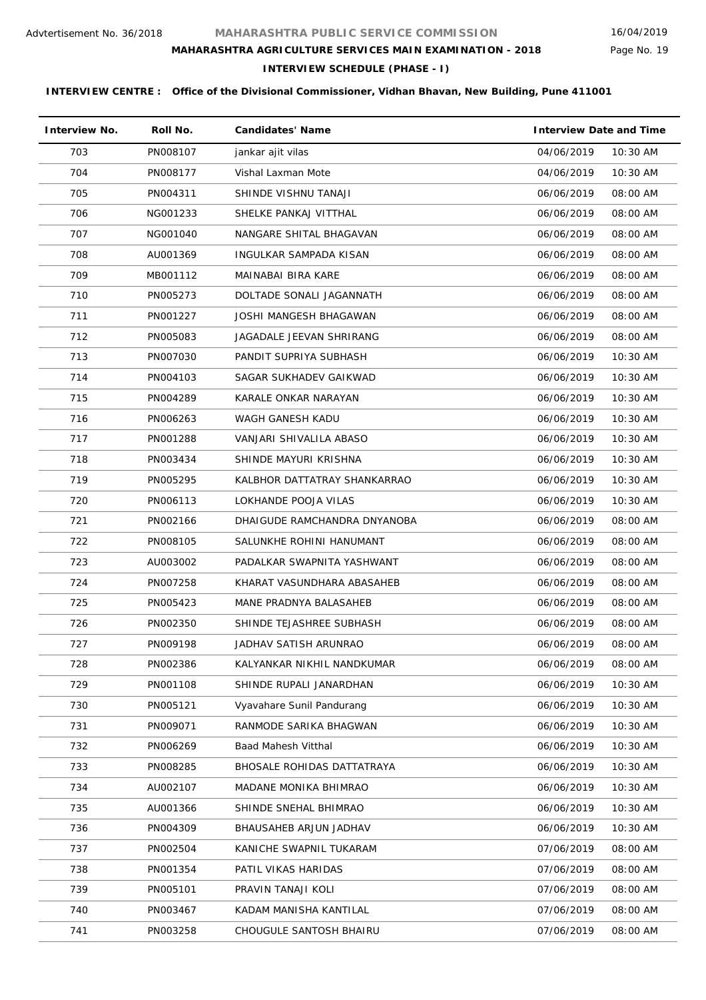Page No. 19

# **MAHARASHTRA AGRICULTURE SERVICES MAIN EXAMINATION - 2018**

**INTERVIEW SCHEDULE (PHASE - I)**

| <b>Interview No.</b> | Roll No. | <b>Candidates' Name</b>      | <b>Interview Date and Time</b> |
|----------------------|----------|------------------------------|--------------------------------|
| 703                  | PN008107 | jankar ajit vilas            | 04/06/2019<br>10:30 AM         |
| 704                  | PN008177 | Vishal Laxman Mote           | 04/06/2019<br>10:30 AM         |
| 705                  | PN004311 | SHINDE VISHNU TANAJI         | 06/06/2019<br>08:00 AM         |
| 706                  | NG001233 | SHELKE PANKAJ VITTHAL        | 06/06/2019<br>08:00 AM         |
| 707                  | NG001040 | NANGARE SHITAL BHAGAVAN      | 06/06/2019<br>08:00 AM         |
| 708                  | AU001369 | INGULKAR SAMPADA KISAN       | 06/06/2019<br>08:00 AM         |
| 709                  | MB001112 | MAINABAI BIRA KARE           | 06/06/2019<br>08:00 AM         |
| 710                  | PN005273 | DOLTADE SONALI JAGANNATH     | 06/06/2019<br>08:00 AM         |
| 711                  | PN001227 | JOSHI MANGESH BHAGAWAN       | 06/06/2019<br>08:00 AM         |
| 712                  | PN005083 | JAGADALE JEEVAN SHRIRANG     | 06/06/2019<br>08:00 AM         |
| 713                  | PN007030 | PANDIT SUPRIYA SUBHASH       | 06/06/2019<br>10:30 AM         |
| 714                  | PN004103 | SAGAR SUKHADEV GAIKWAD       | 06/06/2019<br>10:30 AM         |
| 715                  | PN004289 | KARALE ONKAR NARAYAN         | 10:30 AM<br>06/06/2019         |
| 716                  | PN006263 | WAGH GANESH KADU             | 06/06/2019<br>$10:30$ AM       |
| 717                  | PN001288 | VANJARI SHIVALILA ABASO      | 06/06/2019<br>$10:30$ AM       |
| 718                  | PN003434 | SHINDE MAYURI KRISHNA        | 06/06/2019<br>10:30 AM         |
| 719                  | PN005295 | KALBHOR DATTATRAY SHANKARRAO | 06/06/2019<br>$10:30$ AM       |
| 720                  | PN006113 | LOKHANDE POOJA VILAS         | 06/06/2019<br>$10:30$ AM       |
| 721                  | PN002166 | DHAIGUDE RAMCHANDRA DNYANOBA | 08:00 AM<br>06/06/2019         |
| 722                  | PN008105 | SALUNKHE ROHINI HANUMANT     | 06/06/2019<br>08:00 AM         |
| 723                  | AU003002 | PADALKAR SWAPNITA YASHWANT   | 06/06/2019<br>08:00 AM         |
| 724                  | PN007258 | KHARAT VASUNDHARA ABASAHEB   | 08:00 AM<br>06/06/2019         |
| 725                  | PN005423 | MANE PRADNYA BALASAHEB       | 06/06/2019<br>08:00 AM         |
| 726                  | PN002350 | SHINDE TEJASHREE SUBHASH     | 06/06/2019<br>08:00 AM         |
| 727                  | PN009198 | JADHAV SATISH ARUNRAO        | 06/06/2019<br>08:00 AM         |
| 728                  | PN002386 | KALYANKAR NIKHIL NANDKUMAR   | 06/06/2019<br>08:00 AM         |
| 729                  | PN001108 | SHINDE RUPALI JANARDHAN      | 06/06/2019<br>10:30 AM         |
| 730                  | PN005121 | Vyavahare Sunil Pandurang    | 10:30 AM<br>06/06/2019         |
| 731                  | PN009071 | RANMODE SARIKA BHAGWAN       | 06/06/2019<br>10:30 AM         |
| 732                  | PN006269 | Baad Mahesh Vitthal          | 10:30 AM<br>06/06/2019         |
| 733                  | PN008285 | BHOSALE ROHIDAS DATTATRAYA   | 06/06/2019<br>10:30 AM         |
| 734                  | AU002107 | MADANE MONIKA BHIMRAO        | 06/06/2019<br>10:30 AM         |
| 735                  | AU001366 | SHINDE SNEHAL BHIMRAO        | 10:30 AM<br>06/06/2019         |
| 736                  | PN004309 | BHAUSAHEB ARJUN JADHAV       | 06/06/2019<br>10:30 AM         |
| 737                  | PN002504 | KANICHE SWAPNIL TUKARAM      | 07/06/2019<br>08:00 AM         |
| 738                  | PN001354 | PATIL VIKAS HARIDAS          | 07/06/2019<br>08:00 AM         |
| 739                  | PN005101 | PRAVIN TANAJI KOLI           | 07/06/2019<br>08:00 AM         |
| 740                  | PN003467 | KADAM MANISHA KANTILAL       | 07/06/2019<br>08:00 AM         |
| 741                  | PN003258 | CHOUGULE SANTOSH BHAIRU      | 07/06/2019<br>08:00 AM         |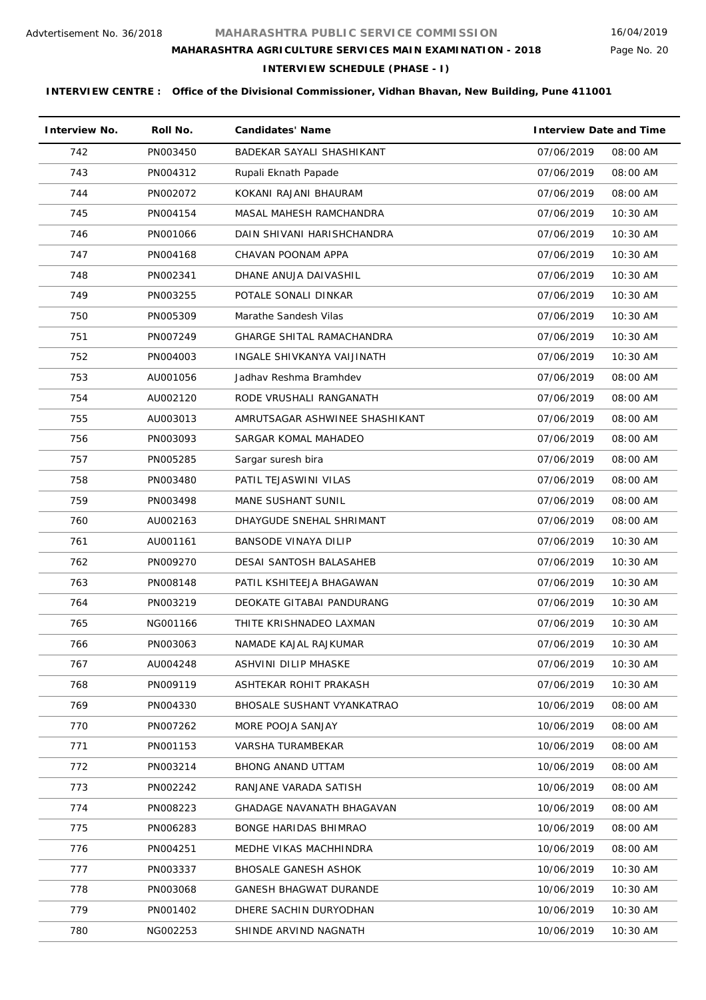Page No. 20

# **MAHARASHTRA AGRICULTURE SERVICES MAIN EXAMINATION - 2018**

**INTERVIEW SCHEDULE (PHASE - I)**

| <b>Interview No.</b> | Roll No. | <b>Candidates' Name</b>          | <b>Interview Date and Time</b> |
|----------------------|----------|----------------------------------|--------------------------------|
| 742                  | PN003450 | BADEKAR SAYALI SHASHIKANT        | 07/06/2019<br>08:00 AM         |
| 743                  | PN004312 | Rupali Eknath Papade             | 07/06/2019<br>08:00 AM         |
| 744                  | PN002072 | KOKANI RAJANI BHAURAM            | 07/06/2019<br>08:00 AM         |
| 745                  | PN004154 | MASAL MAHESH RAMCHANDRA          | 07/06/2019<br>10:30 AM         |
| 746                  | PN001066 | DAIN SHIVANI HARISHCHANDRA       | 07/06/2019<br>10:30 AM         |
| 747                  | PN004168 | CHAVAN POONAM APPA               | 07/06/2019<br>10:30 AM         |
| 748                  | PN002341 | DHANE ANUJA DAIVASHIL            | 07/06/2019<br>10:30 AM         |
| 749                  | PN003255 | POTALE SONALI DINKAR             | 07/06/2019<br>$10:30$ AM       |
| 750                  | PN005309 | Marathe Sandesh Vilas            | 07/06/2019<br>10:30 AM         |
| 751                  | PN007249 | <b>GHARGE SHITAL RAMACHANDRA</b> | 07/06/2019<br>10:30 AM         |
| 752                  | PN004003 | INGALE SHIVKANYA VAIJINATH       | 07/06/2019<br>10:30 AM         |
| 753                  | AU001056 | Jadhav Reshma Bramhdev           | 07/06/2019<br>08:00 AM         |
| 754                  | AU002120 | RODE VRUSHALI RANGANATH          | 07/06/2019<br>08:00 AM         |
| 755                  | AU003013 | AMRUTSAGAR ASHWINEE SHASHIKANT   | 07/06/2019<br>08:00 AM         |
| 756                  | PN003093 | SARGAR KOMAL MAHADEO             | 07/06/2019<br>08:00 AM         |
| 757                  | PN005285 | Sargar suresh bira               | 07/06/2019<br>08:00 AM         |
| 758                  | PN003480 | PATIL TEJASWINI VILAS            | 07/06/2019<br>08:00 AM         |
| 759                  | PN003498 | <b>MANE SUSHANT SUNIL</b>        | 07/06/2019<br>08:00 AM         |
| 760                  | AU002163 | DHAYGUDE SNEHAL SHRIMANT         | 07/06/2019<br>08:00 AM         |
| 761                  | AU001161 | BANSODE VINAYA DILIP             | 07/06/2019<br>10:30 AM         |
| 762                  | PN009270 | DESAI SANTOSH BALASAHEB          | 07/06/2019<br>10:30 AM         |
| 763                  | PN008148 | PATIL KSHITEEJA BHAGAWAN         | 07/06/2019<br>10:30 AM         |
| 764                  | PN003219 | DEOKATE GITABAI PANDURANG        | 07/06/2019<br>10:30 AM         |
| 765                  | NG001166 | THITE KRISHNADEO LAXMAN          | 10:30 AM<br>07/06/2019         |
| 766                  | PN003063 | NAMADE KAJAL RAJKUMAR            | 07/06/2019<br>10:30 AM         |
| 767                  | AU004248 | ASHVINI DILIP MHASKE             | 07/06/2019<br>10:30 AM         |
| 768                  | PN009119 | ASHTEKAR ROHIT PRAKASH           | 07/06/2019<br>10:30 AM         |
| 769                  | PN004330 | BHOSALE SUSHANT VYANKATRAO       | 10/06/2019<br>08:00 AM         |
| 770                  | PN007262 | MORE POOJA SANJAY                | 10/06/2019<br>08:00 AM         |
| 771                  | PN001153 | VARSHA TURAMBEKAR                | 10/06/2019<br>08:00 AM         |
| 772                  | PN003214 | <b>BHONG ANAND UTTAM</b>         | 10/06/2019<br>08:00 AM         |
| 773                  | PN002242 | RANJANE VARADA SATISH            | 10/06/2019<br>08:00 AM         |
| 774                  | PN008223 | <b>GHADAGE NAVANATH BHAGAVAN</b> | 10/06/2019<br>08:00 AM         |
| 775                  | PN006283 | BONGE HARIDAS BHIMRAO            | 10/06/2019<br>08:00 AM         |
| 776                  | PN004251 | MEDHE VIKAS MACHHINDRA           | 10/06/2019<br>08:00 AM         |
| 777                  | PN003337 | BHOSALE GANESH ASHOK             | 10/06/2019<br>10:30 AM         |
| 778                  | PN003068 | <b>GANESH BHAGWAT DURANDE</b>    | 10/06/2019<br>$10:30$ AM       |
| 779                  | PN001402 | DHERE SACHIN DURYODHAN           | 10/06/2019<br>10:30 AM         |
| 780                  | NG002253 | SHINDE ARVIND NAGNATH            | 10/06/2019<br>10:30 AM         |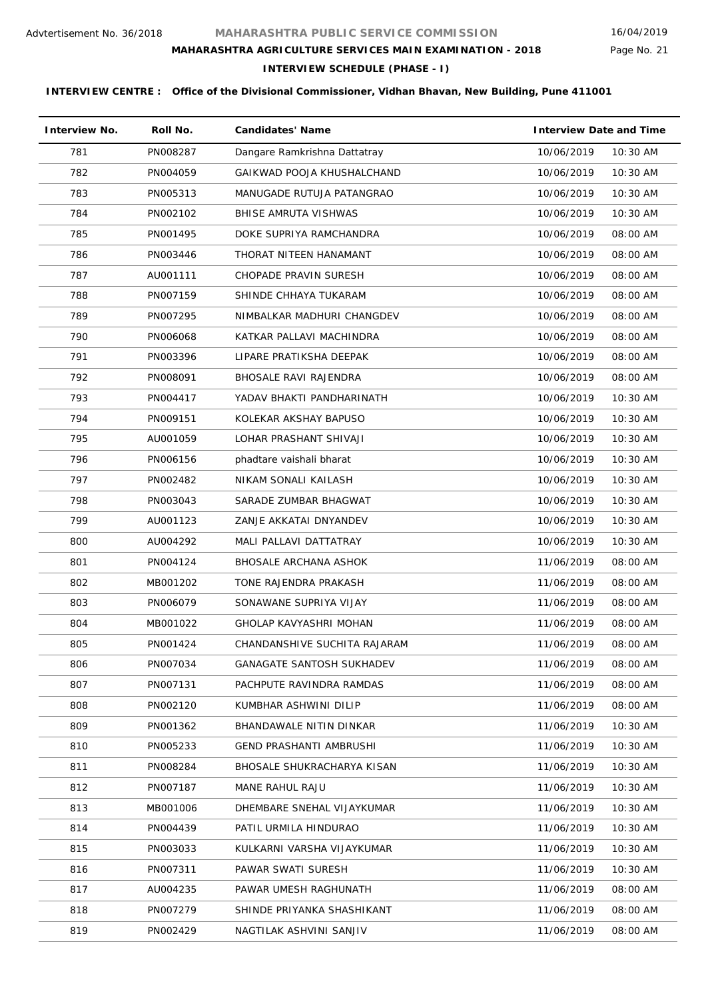Page No. 21

# **MAHARASHTRA AGRICULTURE SERVICES MAIN EXAMINATION - 2018**

**INTERVIEW SCHEDULE (PHASE - I)**

| <b>Interview No.</b> | Roll No. | <b>Candidates' Name</b>          | <b>Interview Date and Time</b> |
|----------------------|----------|----------------------------------|--------------------------------|
| 781                  | PN008287 | Dangare Ramkrishna Dattatray     | 10/06/2019<br>10:30 AM         |
| 782                  | PN004059 | GAIKWAD POOJA KHUSHALCHAND       | 10/06/2019<br>10:30 AM         |
| 783                  | PN005313 | MANUGADE RUTUJA PATANGRAO        | 10/06/2019<br>10:30 AM         |
| 784                  | PN002102 | BHISE AMRUTA VISHWAS             | 10/06/2019<br>10:30 AM         |
| 785                  | PN001495 | DOKE SUPRIYA RAMCHANDRA          | 10/06/2019<br>08:00 AM         |
| 786                  | PN003446 | THORAT NITEEN HANAMANT           | 10/06/2019<br>08:00 AM         |
| 787                  | AU001111 | CHOPADE PRAVIN SURESH            | 10/06/2019<br>08:00 AM         |
| 788                  | PN007159 | SHINDE CHHAYA TUKARAM            | 10/06/2019<br>08:00 AM         |
| 789                  | PN007295 | NIMBALKAR MADHURI CHANGDEV       | 10/06/2019<br>08:00 AM         |
| 790                  | PN006068 | KATKAR PALLAVI MACHINDRA         | 10/06/2019<br>08:00 AM         |
| 791                  | PN003396 | LIPARE PRATIKSHA DEEPAK          | 10/06/2019<br>08:00 AM         |
| 792                  | PN008091 | <b>BHOSALE RAVI RAJENDRA</b>     | 10/06/2019<br>08:00 AM         |
| 793                  | PN004417 | YADAV BHAKTI PANDHARINATH        | 10/06/2019<br>10:30 AM         |
| 794                  | PN009151 | KOLEKAR AKSHAY BAPUSO            | 10/06/2019<br>10:30 AM         |
| 795                  | AU001059 | LOHAR PRASHANT SHIVAJI           | 10:30 AM<br>10/06/2019         |
| 796                  | PN006156 | phadtare vaishali bharat         | 10/06/2019<br>10:30 AM         |
| 797                  | PN002482 | NIKAM SONALI KAILASH             | 10:30 AM<br>10/06/2019         |
| 798                  | PN003043 | SARADE ZUMBAR BHAGWAT            | 10/06/2019<br>10:30 AM         |
| 799                  | AU001123 | ZANJE AKKATAI DNYANDEV           | 10:30 AM<br>10/06/2019         |
| 800                  | AU004292 | MALI PALLAVI DATTATRAY           | 10/06/2019<br>10:30 AM         |
| 801                  | PN004124 | BHOSALE ARCHANA ASHOK            | 08:00 AM<br>11/06/2019         |
| 802                  | MB001202 | TONE RAJENDRA PRAKASH            | 11/06/2019<br>08:00 AM         |
| 803                  | PN006079 | SONAWANE SUPRIYA VIJAY           | 11/06/2019<br>08:00 AM         |
| 804                  | MB001022 | GHOLAP KAVYASHRI MOHAN           | 11/06/2019<br>08:00 AM         |
| 805                  | PN001424 | CHANDANSHIVE SUCHITA RAJARAM     | 11/06/2019<br>08:00 AM         |
| 806                  | PN007034 | <b>GANAGATE SANTOSH SUKHADEV</b> | 11/06/2019<br>08:00 AM         |
| 807                  | PN007131 | PACHPUTE RAVINDRA RAMDAS         | 11/06/2019<br>08:00 AM         |
| 808                  | PN002120 | KUMBHAR ASHWINI DILIP            | 11/06/2019<br>08:00 AM         |
| 809                  | PN001362 | BHANDAWALE NITIN DINKAR          | 11/06/2019<br>10:30 AM         |
| 810                  | PN005233 | <b>GEND PRASHANTI AMBRUSHI</b>   | 11/06/2019<br>10:30 AM         |
| 811                  | PN008284 | BHOSALE SHUKRACHARYA KISAN       | 11/06/2019<br>10:30 AM         |
| 812                  | PN007187 | MANE RAHUL RAJU                  | 11/06/2019<br>$10:30$ AM       |
| 813                  | MB001006 | DHEMBARE SNEHAL VIJAYKUMAR       | 11/06/2019<br>10:30 AM         |
| 814                  | PN004439 | PATIL URMILA HINDURAO            | 11/06/2019<br>10:30 AM         |
| 815                  | PN003033 | KULKARNI VARSHA VIJAYKUMAR       | 10:30 AM<br>11/06/2019         |
| 816                  | PN007311 | PAWAR SWATI SURESH               | 11/06/2019<br>10:30 AM         |
| 817                  | AU004235 | PAWAR UMESH RAGHUNATH            | 11/06/2019<br>08:00 AM         |
| 818                  | PN007279 | SHINDE PRIYANKA SHASHIKANT       | 11/06/2019<br>08:00 AM         |
| 819                  | PN002429 | NAGTILAK ASHVINI SANJIV          | 11/06/2019<br>08:00 AM         |